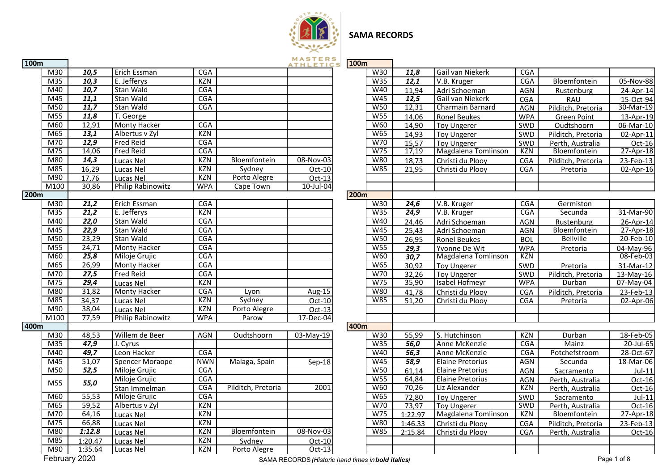

# **SAMA RECORDS**

| 100m |                   |                          |            |                    | MASTERS<br>ATHLETICS                               | <b>100m</b> |            |                   |                         |            |                    |                 |
|------|-------------------|--------------------------|------------|--------------------|----------------------------------------------------|-------------|------------|-------------------|-------------------------|------------|--------------------|-----------------|
| M30  | 10,5              | Erich Essman             | <b>CGA</b> |                    |                                                    |             | W30        | 11,8              | Gail van Niekerk        | <b>CGA</b> |                    |                 |
| M35  | 10,3              | E. Jefferys              | <b>KZN</b> |                    |                                                    |             | W35        | 12,1              | V.B. Kruger             | <b>CGA</b> | Bloemfontein       | $05 - 1$        |
| M40  | 10,7              | Stan Wald                | <b>CGA</b> |                    |                                                    |             | W40        | 11,94             | Adri Schoeman           | <b>AGN</b> | Rustenburg         | $24 -$          |
| M45  | 11,1              | Stan Wald                | <b>CGA</b> |                    |                                                    |             | W45        | 12,5              | Gail van Niekerk        | CGA        | <b>RAU</b>         | $15 -$          |
| M50  | 11,7              | Stan Wald                | CGA        |                    |                                                    |             | W50        | 12,31             | Charmain Barnard        | AGN        | Pilditch, Pretoria | $30 - N$        |
| M55  | 11,8              | T. George                |            |                    |                                                    |             | W55        | 14,06             | <b>Ronel Beukes</b>     | <b>WPA</b> | <b>Green Point</b> | $13 -$          |
| M60  | 12,91             | <b>Monty Hacker</b>      | <b>CGA</b> |                    |                                                    |             | <b>W60</b> | 14,90             | <b>Toy Ungerer</b>      | SWD        | Oudtshoorn         | $06 - N$        |
| M65  | 13,1              | Albertus v Zyl           | <b>KZN</b> |                    |                                                    |             | W65        | 14,93             | <b>Toy Ungerer</b>      | SWD        | Pilditch, Pretoria | $02 -$          |
| M70  | 12,9              | <b>Fred Reid</b>         | <b>CGA</b> |                    |                                                    |             | W70        | 15,57             | <b>Toy Ungerer</b>      | SWD        | Perth, Australia   |                 |
| M75  | 14,06             | <b>Fred Reid</b>         | <b>CGA</b> |                    |                                                    |             | W75        | 17,19             | Magdalena Tomlinson     | KZN        | Bloemfontein       | $27 -$          |
| M80  | 14,3              | Lucas Nel                | <b>KZN</b> | Bloemfontein       | 08-Nov-03                                          |             | W80        | 18.73             | Christi du Plooy        | <b>CGA</b> | Pilditch, Pretoria | $23-$           |
| M85  | 16,29             | Lucas Nel                | KZN        | Sydney             | Oct-10                                             |             | W85        | 21,95             | Christi du Plooy        | <b>CGA</b> | Pretoria           | $02 -$          |
| M90  | 17,76             | Lucas Nel                | KZN        | Porto Alegre       | $Oct-13$                                           |             |            |                   |                         |            |                    |                 |
| M100 | 30,86             | <b>Philip Rabinowitz</b> | <b>WPA</b> | Cape Town          | 10-Jul-04                                          |             |            |                   |                         |            |                    |                 |
| 200m |                   |                          |            |                    |                                                    | <b>200m</b> |            |                   |                         |            |                    |                 |
| M30  | $\overline{21,2}$ | Erich Essman             | <b>CGA</b> |                    |                                                    |             | W30        | 24,6              | V.B. Kruger             | <b>CGA</b> | Germiston          |                 |
| M35  | $\overline{21,2}$ | E. Jefferys              | KZN        |                    |                                                    |             | W35        | $\overline{24,9}$ | V.B. Kruger             | CGA        | Secunda            | $31 - N$        |
| M40  | 22,0              | Stan Wald                | <b>CGA</b> |                    |                                                    |             | W40        | 24,46             | Adri Schoeman           | AGN        | Rustenburg         | $26 -$          |
| M45  | 22,9              | Stan Wald                | <b>CGA</b> |                    |                                                    |             | W45        | 25,43             | Adri Schoeman           | AGN        | Bloemfontein       | $27 -$          |
| M50  | 23,29             | Stan Wald                | <b>CGA</b> |                    |                                                    |             | <b>W50</b> | 26,95             | <b>Ronel Beukes</b>     | <b>BOL</b> | <b>Bellville</b>   | $20 -$          |
| M55  | 24,71             | <b>Monty Hacker</b>      | CGA        |                    |                                                    |             | <b>W55</b> | 29,3              | Yvonne De Wit           | <b>WPA</b> | Pretoria           | $04-N$          |
| M60  | 25,8              | Miloje Grujic            | <b>CGA</b> |                    |                                                    |             | <b>W60</b> | 30,7              | Magdalena Tomlinson     | KZN        |                    | $08-$           |
| M65  | 26,99             | <b>Monty Hacker</b>      | <b>CGA</b> |                    |                                                    |             | W65        | 30,92             | <b>Toy Ungerer</b>      | SWD        | Pretoria           | $31 - N$        |
| M70  | 27,5              | Fred Reid                | <b>CGA</b> |                    |                                                    |             | W70        | 32,26             | <b>Toy Ungerer</b>      | SWD        | Pilditch, Pretoria | $13-N$          |
| M75  | 29,4              | Lucas Nel                | KZN        |                    |                                                    |             | W75        | 35,90             | Isabel Hofmeyr          | <b>WPA</b> | Durban             | $07-N$          |
| M80  | 31,82             | Monty Hacker             | <b>CGA</b> | Lyon               | Aug-15                                             |             | W80        | 41,78             | Christi du Ploov        | CGA        | Pilditch, Pretoria | $23-$           |
| M85  | 34,37             | Lucas Nel                | <b>KZN</b> | Sydney             | Oct-10                                             |             | W85        | 51,20             | Christi du Plooy        | <b>CGA</b> | Pretoria           | $02 -$          |
| M90  | 38,04             | Lucas Nel                | <b>KZN</b> | Porto Alegre       | Oct-13                                             |             |            |                   |                         |            |                    |                 |
| M100 | 77,59             | <b>Philip Rabinowitz</b> | <b>WPA</b> | Parow              | 17-Dec-04                                          |             |            |                   |                         |            |                    |                 |
| 400m |                   |                          |            |                    |                                                    | 400m        |            |                   |                         |            |                    |                 |
| M30  | 48,53             | Willem de Beer           | AGN        | Oudtshoorn         | 03-May-19                                          |             | W30        | 55,99             | S. Hutchinson           | <b>KZN</b> | Durban             | $18-$           |
| M35  | 47,9              | J. Cyrus                 |            |                    |                                                    |             | W35        | 56,0              | Anne McKenzie           | <b>CGA</b> | Mainz              | $\overline{20}$ |
| M40  | 49.7              | Leon Hacker              | <b>CGA</b> |                    |                                                    |             | W40        | 56,3              | Anne McKenzie           | <b>CGA</b> | Potchefstroom      | $28 -$          |
| M45  | 51,07             | Spencer Moraope          | <b>NWN</b> | Malaga, Spain      | $Sep-18$                                           |             | W45        | 58,9              | <b>Elaine Pretorius</b> | AGN        | Secunda            | $18 - N$        |
| M50  | 52,5              | Miloje Grujic            | <b>CGA</b> |                    |                                                    |             | W50        | 61.14             | <b>Elaine Pretorius</b> | AGN        | Sacramento         |                 |
| M55  | 55,0              | Miloje Grujic            | CGA        |                    |                                                    |             | <b>W55</b> | 64,84             | <b>Elaine Pretorius</b> | AGN        | Perth, Australia   |                 |
|      |                   | Stan Immelman            | <b>CGA</b> | Pilditch, Pretoria | 2001                                               |             | W60        | 70,26             | Liz Alexander           | KZN        | Perth, Australia   |                 |
| M60  | 55,53             | Miloje Grujic            | <b>CGA</b> |                    |                                                    |             | W65        | 72,80             | <b>Toy Ungerer</b>      | SWD        | Sacramento         |                 |
| M65  | 59,52             | Albertus v Zyl           | <b>KZN</b> |                    |                                                    |             | W70        | 73,97             | <b>Toy Ungerer</b>      | SWD        | Perth, Australia   |                 |
| M70  | 64,16             | Lucas Nel                | <b>KZN</b> |                    |                                                    |             | W75        | 1:22.97           | Magdalena Tomlinson     | KZN        | Bloemfontein       | $27 -$          |
| M75  | 66,88             | Lucas Nel                | KZN        |                    |                                                    |             | W80        | 1:46.33           | Christi du Plooy        | CGA        | Pilditch, Pretoria | $23-$           |
| M80  | 1:12.8            | Lucas Nel                | <b>KZN</b> | Bloemfontein       | 08-Nov-03                                          |             | W85        | 2:15.84           | Christi du Plooy        | CGA        | Perth, Australia   |                 |
| M85  | 1:20.47           | Lucas Nel                | <b>KZN</b> | Sydney             | Oct-10                                             |             |            |                   |                         |            |                    |                 |
| M90  | 1:35.64           | Lucas Nel                | KZN        | Porto Alegre       | $Oct-13$                                           |             |            |                   |                         |            |                    |                 |
|      | February 2020     |                          |            |                    | SAMA RECORDS (Historic hand times in bold italics) |             |            |                   |                         |            |                    | Page 1 of 8     |

|                           |                   |                          |            |                    | <b>ATHLETICS</b> | 100 <sub>m</sub> |            |         |                         |            |                    |                         |
|---------------------------|-------------------|--------------------------|------------|--------------------|------------------|------------------|------------|---------|-------------------------|------------|--------------------|-------------------------|
| M30                       | 10,5              | Erich Essman             | CGA        |                    |                  |                  | W30        | 11,8    | Gail van Niekerk        | <b>CGA</b> |                    |                         |
| M <sub>35</sub>           | 10,3              | E. Jefferys              | <b>KZN</b> |                    |                  |                  | W35        | 12,1    | V.B. Kruger             | <b>CGA</b> | Bloemfontein       | 05-Nov-88               |
| M40                       | 10,7              | Stan Wald                | <b>CGA</b> |                    |                  |                  | W40        | 11,94   | Adri Schoeman           | <b>AGN</b> | Rustenburg         | 24-Apr-14               |
| $\overline{\mathsf{M}45}$ | 11,1              | Stan Wald                | <b>CGA</b> |                    |                  |                  | W45        | 12,5    | Gail van Niekerk        | <b>CGA</b> | <b>RAU</b>         | 15-Oct-94               |
| M50                       | $\overline{11,7}$ | Stan Wald                | <b>CGA</b> |                    |                  |                  | <b>W50</b> | 12,31   | Charmain Barnard        | <b>AGN</b> | Pilditch, Pretoria | 30-Mar-19               |
| $\overline{\mathsf{M}55}$ | 11,8              | T. George                |            |                    |                  |                  | W55        | 14,06   | <b>Ronel Beukes</b>     | <b>WPA</b> | <b>Green Point</b> | 13-Apr-19               |
| M60                       | 12,91             | <b>Monty Hacker</b>      | CGA        |                    |                  |                  | W60        | 14,90   | <b>Toy Ungerer</b>      | SWD        | Oudtshoorn         | 06-Mar-10               |
| M65                       | 13,1              | Albertus v Zyl           | <b>KZN</b> |                    |                  |                  | <b>W65</b> | 14,93   | <b>Toy Ungerer</b>      | SWD        | Pilditch, Pretoria | 02-Apr-11               |
| M70                       | $\overline{12,9}$ | <b>Fred Reid</b>         | <b>CGA</b> |                    |                  |                  | W70        | 15,57   | <b>Toy Ungerer</b>      | SWD        | Perth, Australia   | Oct-16                  |
| $\overline{M75}$          | 14,06             | <b>Fred Reid</b>         | CGA        |                    |                  |                  | W75        | 17,19   | Magdalena Tomlinson     | KZN        | Bloemfontein       | $27-Apr-18$             |
| M80                       | 14,3              | Lucas Nel                | <b>KZN</b> | Bloemfontein       | 08-Nov-03        |                  | <b>W80</b> | 18,73   | Christi du Plooy        | <b>CGA</b> | Pilditch, Pretoria | 23-Feb-13               |
| $\overline{M85}$          | 16,29             | Lucas Nel                | <b>KZN</b> | Sydney             | Oct-10           |                  | <b>W85</b> | 21,95   | Christi du Plooy        | <b>CGA</b> | Pretoria           | 02-Apr-16               |
| M90                       | 17,76             | Lucas Nel                | <b>KZN</b> | Porto Alegre       | Oct-13           |                  |            |         |                         |            |                    |                         |
| $\sqrt{100}$              | 30,86             | <b>Philip Rabinowitz</b> | <b>WPA</b> | Cape Town          | $10$ -Jul-04     |                  |            |         |                         |            |                    |                         |
|                           |                   |                          |            |                    |                  | <b>200m</b>      |            |         |                         |            |                    |                         |
| M30                       | 21,2              | Erich Essman             | CGA        |                    |                  |                  | W30        | 24,6    | V.B. Kruger             | CGA        | Germiston          |                         |
| M35                       | $\overline{21,2}$ | E. Jefferys              | <b>KZN</b> |                    |                  |                  | W35        | 24,9    | V.B. Kruger             | CGA        | Secunda            | 31-Mar-90               |
| M40                       | 22,0              | Stan Wald                | <b>CGA</b> |                    |                  |                  | W40        | 24,46   | Adri Schoeman           | <b>AGN</b> | Rustenburg         | 26-Apr-14               |
| $\overline{\mathsf{M45}}$ | 22,9              | Stan Wald                | CGA        |                    |                  |                  | W45        | 25,43   | Adri Schoeman           | <b>AGN</b> | Bloemfontein       | 27-Apr-18               |
| $\overline{\mathsf{M}50}$ | 23,29             | Stan Wald                | CGA        |                    |                  |                  | <b>W50</b> | 26,95   | <b>Ronel Beukes</b>     | <b>BOL</b> | <b>Bellville</b>   | 20-Feb-10               |
| M55                       | 24,71             | Monty Hacker             | <b>CGA</b> |                    |                  |                  | <b>W55</b> | 29,3    | Yvonne De Wit           | <b>WPA</b> | Pretoria           | $\overline{0}$ 4-May-96 |
| M60                       | 25,8              | Miloje Grujic            | <b>CGA</b> |                    |                  |                  | <b>W60</b> | 30,7    | Magdalena Tomlinson     | KZN        |                    | 08-Feb-03               |
| M65                       | 26,99             | Monty Hacker             | CGA        |                    |                  |                  | <b>W65</b> | 30,92   | <b>Toy Ungerer</b>      | SWD        | Pretoria           | 31-Mar-12               |
| $\overline{M70}$          | $\overline{27,5}$ | <b>Fred Reid</b>         | <b>CGA</b> |                    |                  |                  | W70        | 32,26   | <b>Toy Ungerer</b>      | SWD        | Pilditch, Pretoria | 13-May-16               |
| $\overline{M75}$          | 29,4              | Lucas Nel                | KZN        |                    |                  |                  | W75        | 35,90   | Isabel Hofmeyr          | <b>WPA</b> | Durban             | 07-May-04               |
| M80                       | 31,82             | <b>Monty Hacker</b>      | <b>CGA</b> | Lyon               | Aug-15           |                  | <b>W80</b> | 41,78   | Christi du Plooy        | <b>CGA</b> | Pilditch, Pretoria | 23-Feb-13               |
| $\overline{M85}$          | 34,37             | Lucas Nel                | KZN        | Sydney             | Oct-10           |                  | <b>W85</b> | 51,20   | Christi du Plooy        | <b>CGA</b> | Pretoria           | 02-Apr-06               |
| M90                       | 38,04             | Lucas Nel                | <b>KZN</b> | Porto Alegre       | Oct-13           |                  |            |         |                         |            |                    |                         |
| $\sqrt{100}$              | 77,59             | <b>Philip Rabinowitz</b> | <b>WPA</b> | Parow              | $17 - Dec-04$    |                  |            |         |                         |            |                    |                         |
|                           |                   |                          |            |                    |                  | 400m             |            |         |                         |            |                    |                         |
| M30                       | 48,53             | Willem de Beer           | <b>AGN</b> | Oudtshoorn         | 03-May-19        |                  | W30        | 55,99   | S. Hutchinson           | KZN        | Durban             | 18-Feb-05               |
| M35                       | 47,9              | J. Cyrus                 |            |                    |                  |                  | W35        | 56,0    | Anne McKenzie           | CGA        | Mainz              | 20-Jul-65               |
| M40                       | 49,7              | Leon Hacker              | <b>CGA</b> |                    |                  |                  | W40        | 56,3    | Anne McKenzie           | <b>CGA</b> | Potchefstroom      | 28-Oct-67               |
| M45                       | 51,07             | <b>Spencer Moraope</b>   | <b>NWN</b> | Malaga, Spain      | $Sen-18$         |                  | W45        | 58,9    | <b>Elaine Pretorius</b> | <b>AGN</b> | Secunda            | 18-Mar-06               |
| $\overline{\mathsf{M}50}$ | 52,5              | Miloje Grujic            | CGA        |                    |                  |                  | W50        | 61,14   | <b>Elaine Pretorius</b> | <b>AGN</b> | Sacramento         | $Jul-11$                |
| M55                       | 55,0              | Miloje Grujic            | <b>CGA</b> |                    |                  |                  | <b>W55</b> | 64,84   | <b>Elaine Pretorius</b> | <b>AGN</b> | Perth, Australia   | Oct-16                  |
|                           |                   | Stan Immelman            | CGA        | Pilditch, Pretoria | 2001             |                  | <b>W60</b> | 70,26   | Liz Alexander           | KZN        | Perth, Australia   | Oct-16                  |
| M60                       | 55,53             | Miloje Grujic            | <b>CGA</b> |                    |                  |                  | W65        | 72,80   | <b>Toy Ungerer</b>      | SWD        | Sacramento         | $Jul-11$                |
| M65                       | 59,52             | Albertus v Zyl           | <b>KZN</b> |                    |                  |                  | W70        | 73,97   | Toy Ungerer             | SWD        | Perth, Australia   | Oct-16                  |
| M70                       | 64,16             | Lucas Nel                | <b>KZN</b> |                    |                  |                  | W75        | 1:22.97 | Magdalena Tomlinson     | KZN        | Bloemfontein       | 27-Apr-18               |
| $\overline{M75}$          | 66,88             | Lucas Nel                | <b>KZN</b> |                    |                  |                  | W80        | 1:46.33 | Christi du Plooy        | <b>CGA</b> | Pilditch, Pretoria | 23-Feb-13               |
| M80                       | 1:12.8            | Lucas Nel                | KZN        | Bloemfontein       | 08-Nov-03        |                  | W85        | 2:15.84 | Christi du Plooy        | <b>CGA</b> | Perth, Australia   | Oct-16                  |
| $\overline{M85}$          | 1:20.47           | Lucas Nel                | <b>KZN</b> | Sydney             | Oct-10           |                  |            |         |                         |            |                    |                         |
| $\overline{\mathsf{M90}}$ | 1:35.64           | Lucas Nel                | <b>KZN</b> | Porto Alegre       | Oct-13           |                  |            |         |                         |            |                    |                         |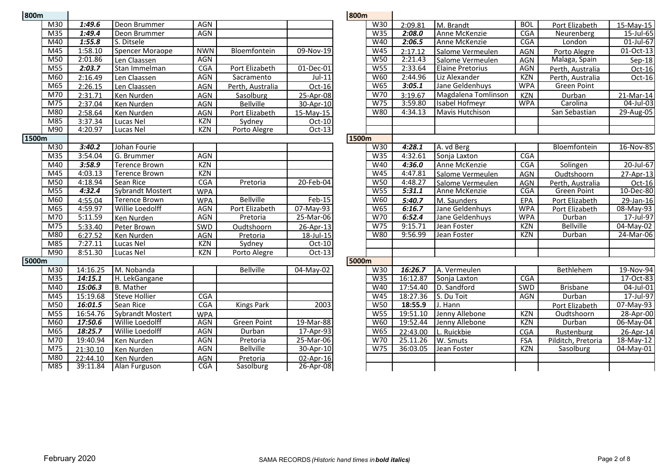| 800m            |          |                         |            |                    |           | 800m  |                  |          |                         |            |                    |
|-----------------|----------|-------------------------|------------|--------------------|-----------|-------|------------------|----------|-------------------------|------------|--------------------|
| M30             | 1:49.6   | Deon Brummer            | <b>AGN</b> |                    |           |       | W30              | 2:09.81  | M. Brandt               | <b>BOL</b> | Port Elizabet      |
| M <sub>35</sub> | 1:49.4   | Deon Brummer            | <b>AGN</b> |                    |           |       | W35              | 2:08.0   | Anne McKenzie           | <b>CGA</b> | Neurenberg         |
| M40             | 1:55.8   | S. Ditsele              |            |                    |           |       | W40              | 2:06.5   | Anne McKenzie           | <b>CGA</b> | London             |
| M45             | 1:58.10  | <b>Spencer Moraope</b>  | <b>NWN</b> | Bloemfontein       | 09-Nov-19 |       | W45              | 2:17.12  | Salome Vermeulen        | <b>AGN</b> | Porto Alegre       |
| M50             | 2:01.86  | Len Claassen            | <b>AGN</b> |                    |           |       | <b>W50</b>       | 2:21.43  | Salome Vermeulen        | <b>AGN</b> | Malaga, Spair      |
| M55             | 2:03.7   | Stan Immelman           | CGA        | Port Elizabeth     | 01-Dec-01 |       | W55              | 2:33.64  | <b>Elaine Pretorius</b> | <b>AGN</b> | Perth, Austral     |
| M60             | 2:16.49  | Len Claassen            | <b>AGN</b> | Sacramento         | $Jul-11$  |       | <b>W60</b>       | 2:44.96  | Liz Alexander           | KZN        | Perth, Austral     |
| M65             | 2:26.15  | Len Claassen            | <b>AGN</b> | Perth, Australia   | Oct-16    |       | <b>W65</b>       | 3:05.1   | Jane Geldenhuys         | <b>WPA</b> | <b>Green Point</b> |
| M70             | 2:31.71  | Ken Nurden              | AGN        | Sasolburg          | 25-Apr-08 |       | W70              | 3:19.67  | Magdalena Tomlinson     | <b>KZN</b> | Durban             |
| M <sub>75</sub> | 2:37.04  | Ken Nurden              | <b>AGN</b> | <b>Bellville</b>   | 30-Apr-10 |       | W75              | 3:59.80  | Isabel Hofmeyr          | <b>WPA</b> | Carolina           |
| M80             | 2:58.64  | Ken Nurden              | AGN        | Port Elizabeth     | 15-May-15 |       | <b>W80</b>       | 4:34.13  | <b>Mavis Hutchison</b>  |            | San Sebastian      |
| M85             | 3:37.34  | Lucas Nel               | <b>KZN</b> | Sydney             | $Oct-10$  |       |                  |          |                         |            |                    |
| M90             | 4:20.97  | Lucas Nel               | <b>KZN</b> | Porto Alegre       | Oct-13    |       |                  |          |                         |            |                    |
| 1500m           |          |                         |            |                    |           | 1500m |                  |          |                         |            |                    |
| M30             | 3:40.2   | Johan Fourie            |            |                    |           |       | W30              | 4:28.1   | A. vd Berg              |            | Bloemfontei        |
| M <sub>35</sub> | 3:54.04  | G. Brummer              | <b>AGN</b> |                    |           |       | W35              | 4:32.61  | Sonja Laxton            | CGA        |                    |
| M40             | 3:58.9   | <b>Terence Brown</b>    | <b>KZN</b> |                    |           |       | W40              | 4:36.0   | Anne McKenzie           | <b>CGA</b> | Solingen           |
| M45             | 4:03.13  | <b>Terence Brown</b>    | <b>KZN</b> |                    |           |       | W45              | 4:47.81  | Salome Vermeulen        | <b>AGN</b> | Oudtshoorn         |
| M50             | 4:18.94  | Sean Rice               | <b>CGA</b> | Pretoria           | 20-Feb-04 |       | <b>W50</b>       | 4:48.27  | Salome Vermeulen        | <b>AGN</b> | Perth, Austral     |
| M55             | 4:32.4   | <b>Sybrandt Mostert</b> | <b>WPA</b> |                    |           |       | W55              | 5:31.1   | Anne McKenzie           | CGA        | <b>Green Point</b> |
| M60             | 4:55.04  | <b>Terence Brown</b>    | <b>WPA</b> | <b>Bellville</b>   | $Feb-15$  |       | <b>W60</b>       | 5:40.7   | M. Saunders             | EPA        | Port Elizabet      |
| M65             | 4:59.97  | Willie Loedolff         | <b>AGN</b> | Port Elizabeth     | 07-May-93 |       | <b>W65</b>       | 6:16.7   | Jane Geldenhuys         | <b>WPA</b> | Port Elizabet      |
| M70             | 5:11.59  | Ken Nurden              | <b>AGN</b> | Pretoria           | 25-Mar-06 |       | W70              | 6:52.4   | Jane Geldenhuys         | <b>WPA</b> | Durban             |
| M75             | 5:33.40  | Peter Brown             | SWD        | Oudtshoorn         | 26-Apr-13 |       | W75              | 9:15.71  | Jean Foster             | KZN        | <b>Bellville</b>   |
| M80             | 6:27.52  | Ken Nurden              | <b>AGN</b> | Pretoria           | 18-Jul-15 |       | <b>W80</b>       | 9:56.99  | Jean Foster             | KZN        | Durban             |
| M85             | 7:27.11  | Lucas Nel               | <b>KZN</b> | Sydney             | Oct-10    |       |                  |          |                         |            |                    |
| M90             | 8:51.30  | Lucas Nel               | <b>KZN</b> | Porto Alegre       | Oct-13    |       |                  |          |                         |            |                    |
| 5000m           |          |                         |            |                    |           | 5000m |                  |          |                         |            |                    |
| M30             | 14:16.25 | M. Nobanda              |            | <b>Bellville</b>   | 04-May-02 |       | W30              | 16:26.7  | A. Vermeulen            |            | Bethlehem          |
| M <sub>35</sub> | 14:15.1  | H. LekGangane           |            |                    |           |       | $W3\overline{5}$ | 16:12.87 | Sonja Laxton            | CGA        |                    |
| M40             | 15:06.3  | <b>B.</b> Mather        |            |                    |           |       | W40              | 17:54.40 | D. Sandford             | <b>SWD</b> | <b>Brisbane</b>    |
| M45             | 15:19.68 | <b>Steve Hollier</b>    | CGA        |                    |           |       | W45              | 18:27.36 | S. Du Toit              | <b>AGN</b> | Durban             |
| M50             | 16:01.5  | Sean Rice               | <b>CGA</b> | <b>Kings Park</b>  | 2003      |       | <b>W50</b>       | 18:55.9  | J. Hann                 |            | Port Elizabet      |
| M55             | 16:54.76 | <b>Sybrandt Mostert</b> | <b>WPA</b> |                    |           |       | <b>W55</b>       | 19:51.10 | Jenny Allebone          | <b>KZN</b> | Oudtshoorn         |
| M60             | 17:50.6  | Willie Loedolff         | <b>AGN</b> | <b>Green Point</b> | 19-Mar-88 |       | W60              | 19:52.44 | Jenny Allebone          | <b>KZN</b> | Durban             |
| M65             | 18:25.7  | Willie Loedolff         | <b>AGN</b> | Durban             | 17-Apr-93 |       | W65              | 22:43.00 | L. Ruickbie             | CGA        | Rustenburg         |
| M70             | 19:40.94 | Ken Nurden              | <b>AGN</b> | Pretoria           | 25-Mar-06 |       | W70              | 25.11.26 | W. Smuts                | <b>FSA</b> | Pilditch, Preto    |
| M75             | 21:30.10 | Ken Nurden              | <b>AGN</b> | <b>Bellville</b>   | 30-Apr-10 |       | W75              | 36:03.05 | Jean Foster             | KZN        | Sasolburg          |
| M80             | 22:44.10 | Ken Nurden              | <b>AGN</b> | Pretoria           | 02-Apr-16 |       |                  |          |                         |            |                    |
| M85             | 39:11.84 | Alan Furguson           | CGA        | Sasolburg          | 26-Apr-08 |       |                  |          |                         |            |                    |

|                           |          |                         |            |                    |           | 800m  |            |          |                         |            |                    |               |
|---------------------------|----------|-------------------------|------------|--------------------|-----------|-------|------------|----------|-------------------------|------------|--------------------|---------------|
| M30                       | 1:49.6   | Deon Brummer            | AGN        |                    |           |       | W30        | 2:09.81  | M. Brandt               | <b>BOL</b> | Port Elizabeth     | 15-May-15     |
| $\overline{M35}$          | 1:49.4   | Deon Brummer            | AGN        |                    |           |       | W35        | 2:08.0   | Anne McKenzie           | CGA        | Neurenberg         | 15-Jul-65     |
| M40                       | 1:55.8   | S. Ditsele              |            |                    |           |       | W40        | 2:06.5   | Anne McKenzie           | <b>CGA</b> | London             | 01-Jul-67     |
| M45                       | 1:58.10  | <b>Spencer Moraope</b>  | <b>NWN</b> | Bloemfontein       | 09-Nov-19 |       | <b>W45</b> | 2:17.12  | Salome Vermeulen        | <b>AGN</b> | Porto Alegre       | $01-Oct-13$   |
| $\overline{\mathsf{M}50}$ | 2:01.86  | Len Claassen            | <b>AGN</b> |                    |           |       | W50        | 2:21.43  | Salome Vermeulen        | <b>AGN</b> | Malaga, Spain      | Sep-18        |
| M <sub>55</sub>           | 2:03.7   | Stan Immelman           | CGA        | Port Elizabeth     | 01-Dec-01 |       | W55        | 2:33.64  | <b>Elaine Pretorius</b> | <b>AGN</b> | Perth, Australia   | Oct-16        |
| M60                       | 2:16.49  | Len Claassen            | <b>AGN</b> | Sacramento         | $Jul-11$  |       | W60        | 2:44.96  | Liz Alexander           | KZN        | Perth, Australia   | Oct-16        |
| M65                       | 2:26.15  | Len Claassen            | <b>AGN</b> | Perth, Australia   | Oct-16    |       | <b>W65</b> | 3:05.1   | Jane Geldenhuys         | <b>WPA</b> | <b>Green Point</b> |               |
| M70                       | 2:31.71  | Ken Nurden              | <b>AGN</b> | Sasolburg          | 25-Apr-08 |       | W70        | 3:19.67  | Magdalena Tomlinson     | <b>KZN</b> | Durban             | 21-Mar-14     |
| $\overline{M75}$          | 2:37.04  | Ken Nurden              | <b>AGN</b> | <b>Bellville</b>   | 30-Apr-10 |       | W75        | 3:59.80  | Isabel Hofmeyr          | <b>WPA</b> | Carolina           | 04-Jul-03     |
| M80                       | 2:58.64  | Ken Nurden              | AGN        | Port Elizabeth     | 15-May-15 |       | W80        | 4:34.13  | <b>Mavis Hutchison</b>  |            | San Sebastian      | 29-Aug-05     |
| M85                       | 3:37.34  | Lucas Nel               | <b>KZN</b> | Sydney             | Oct-10    |       |            |          |                         |            |                    |               |
| M90                       | 4:20.97  | Lucas Nel               | <b>KZN</b> | Porto Alegre       | $Oct-13$  |       |            |          |                         |            |                    |               |
|                           |          |                         |            |                    |           | 1500m |            |          |                         |            |                    |               |
| M30                       | 3:40.2   | Johan Fourie            |            |                    |           |       | W30        | 4:28.1   | A. vd Berg              |            | Bloemfontein       | 16-Nov-85     |
| M <sub>35</sub>           | 3:54.04  | G. Brummer              | <b>AGN</b> |                    |           |       | W35        | 4:32.61  | Sonja Laxton            | CGA        |                    |               |
| M40                       | 3:58.9   | <b>Terence Brown</b>    | <b>KZN</b> |                    |           |       | W40        | 4:36.0   | Anne McKenzie           | CGA        | Solingen           | 20-Jul-67     |
| M45                       | 4:03.13  | <b>Terence Brown</b>    | <b>KZN</b> |                    |           |       | W45        | 4:47.81  | Salome Vermeulen        | <b>AGN</b> | Oudtshoorn         | 27-Apr-13     |
| M50                       | 4:18.94  | Sean Rice               | <b>CGA</b> | Pretoria           | 20-Feb-04 |       | <b>W50</b> | 4:48.27  | Salome Vermeulen        | AGN        | Perth, Australia   | Oct-16        |
| M55                       | 4:32.4   | <b>Sybrandt Mostert</b> | <b>WPA</b> |                    |           |       | W55        | 5:31.1   | Anne McKenzie           | CGA        | <b>Green Point</b> | $10 - Dec-80$ |
| M60                       | 4:55.04  | <b>Terence Brown</b>    | <b>WPA</b> | <b>Bellville</b>   | $Feb-15$  |       | W60        | 5:40.7   | M. Saunders             | EPA        | Port Elizabeth     | 29-Jan-16     |
| $\overline{M65}$          | 4:59.97  | Willie Loedolff         | AGN        | Port Elizabeth     | 07-May-93 |       | <b>W65</b> | 6:16.7   | Jane Geldenhuys         | <b>WPA</b> | Port Elizabeth     | 08-May-93     |
| M70                       | 5:11.59  | Ken Nurden              | <b>AGN</b> | Pretoria           | 25-Mar-06 |       | W70        | 6:52.4   | Jane Geldenhuys         | <b>WPA</b> | Durban             | $17 -$ Jul-97 |
| $\overline{M75}$          | 5:33.40  | Peter Brown             | SWD        | Oudtshoorn         | 26-Apr-13 |       | W75        | 9:15.71  | Jean Foster             | <b>KZN</b> | <b>Bellville</b>   | 04-May-02     |
| M80                       | 6:27.52  | Ken Nurden              | <b>AGN</b> | Pretoria           | 18-Jul-15 |       | <b>W80</b> | 9:56.99  | Jean Foster             | <b>KZN</b> | Durban             | 24-Mar-06     |
| M85                       | 7:27.11  | Lucas Nel               | <b>KZN</b> | Sydney             | $Oct-10$  |       |            |          |                         |            |                    |               |
| M90                       | 8:51.30  | Lucas Nel               | <b>KZN</b> | Porto Alegre       | Oct-13    |       |            |          |                         |            |                    |               |
|                           |          |                         |            |                    |           | 5000m |            |          |                         |            |                    |               |
| $\overline{\text{M30}}$   | 14:16.25 | M. Nobanda              |            | <b>Bellville</b>   | 04-May-02 |       | W30        | 16:26.7  | A. Vermeulen            |            | Bethlehem          | 19-Nov-94     |
| $\overline{M35}$          | 14:15.1  | H. LekGangane           |            |                    |           |       | W35        | 16:12.87 | Sonja Laxton            | <b>CGA</b> |                    | $17-Oct-83$   |
| M40                       | 15:06.3  | <b>B.</b> Mather        |            |                    |           |       | W40        | 17:54.40 | D. Sandford             | SWD        | <b>Brisbane</b>    | 04-Jul-01     |
| $\overline{M45}$          | 15:19.68 | <b>Steve Hollier</b>    | CGA        |                    |           |       | W45        | 18:27.36 | S. Du Toit              | AGN        | Durban             | $17 -$ Jul-97 |
| $\overline{M50}$          | 16:01.5  | Sean Rice               | CGA        | <b>Kings Park</b>  | 2003      |       | <b>W50</b> | 18:55.9  | J. Hann                 |            | Port Elizabeth     | 07-May-93     |
| $\overline{M55}$          | 16:54.76 | <b>Sybrandt Mostert</b> | <b>WPA</b> |                    |           |       | W55        | 19:51.10 | Jenny Allebone          | <b>KZN</b> | Oudtshoorn         | 28-Apr-00     |
| M60                       | 17:50.6  | Willie Loedolff         | <b>AGN</b> | <b>Green Point</b> | 19-Mar-88 |       | <b>W60</b> | 19:52.44 | Jenny Allebone          | <b>KZN</b> | Durban             | $06$ -May-04  |
| $\overline{M65}$          | 18:25.7  | Willie Loedolff         | <b>AGN</b> | Durban             | 17-Apr-93 |       | W65        | 22:43.00 | L. Ruickbie             | <b>CGA</b> | Rustenburg         | 26-Apr-14     |
| M70                       | 19:40.94 | Ken Nurden              | <b>AGN</b> | Pretoria           | 25-Mar-06 |       | W70        | 25.11.26 | W. Smuts                | <b>FSA</b> | Pilditch, Pretoria | 18-May-12     |
| M75                       | 21:30.10 | Ken Nurden              | <b>AGN</b> | <b>Bellville</b>   | 30-Apr-10 |       | W75        | 36:03.05 | Jean Foster             | <b>KZN</b> | Sasolburg          | 04-May-01     |
| M80                       | 22:44.10 | Ken Nurden              | <b>AGN</b> | Pretoria           | 02-Apr-16 |       |            |          |                         |            |                    |               |
| M85                       | 39:11.84 | Alan Furguson           | CGA        | Sasolburg          | 26-Apr-08 |       |            |          |                         |            |                    |               |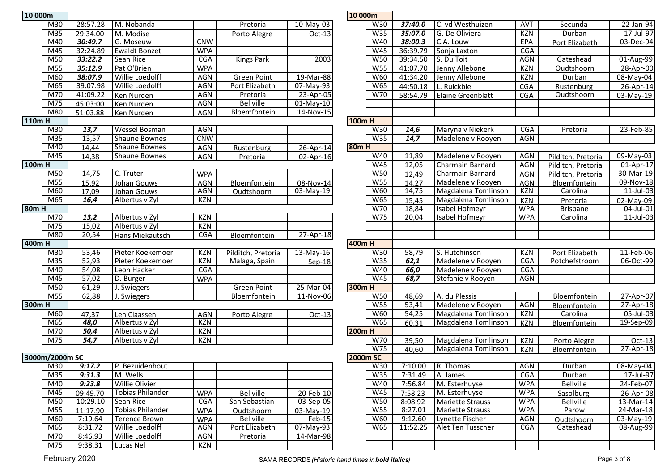| 10 000m  |                 |          |                       |            |                    |                  | 10 000m     |                  |          |                          |            |
|----------|-----------------|----------|-----------------------|------------|--------------------|------------------|-------------|------------------|----------|--------------------------|------------|
|          | M30             | 28:57.28 | M. Nobanda            |            | Pretoria           | 10-May-03        |             | W30              | 37:40.0  | C. vd Westhuizen         | <b>AVT</b> |
|          | M35             | 29:34.00 | M. Modise             |            | Porto Alegre       | $Oct-13$         |             | W35              | 35:07.0  | G. De Oliviera           | KZN        |
|          | M40             | 30:49.7  | G. Moseuw             | <b>CNW</b> |                    |                  |             | W40              | 38:00.3  | C.A. Louw                | <b>EPA</b> |
|          | M45             | 32:24.89 | <b>Ewaldt Bonzet</b>  | <b>WPA</b> |                    |                  |             | W <sub>45</sub>  | 36:39.79 | Sonja Laxton             | CGA        |
|          | M50             | 33:22.2  | Sean Rice             | <b>CGA</b> | <b>Kings Park</b>  | $\frac{1}{2003}$ |             | <b>W50</b>       | 39:34.50 | S. Du Toit               | <b>AGN</b> |
|          | M55             | 35:12.9  | Pat O'Brien           | <b>WPA</b> |                    |                  |             | W55              | 41:07.70 | Jenny Allebone           | <b>KZN</b> |
|          | M60             | 38:07.9  | Willie Loedolff       | <b>AGN</b> | <b>Green Point</b> | 19-Mar-88        |             | W60              | 41:34.20 | Jenny Allebone           | <b>KZN</b> |
|          | M65             | 39:07.98 | Willie Loedolff       | <b>AGN</b> | Port Elizabeth     | $07 - May-93$    |             | <b>W65</b>       | 44:50.18 | L. Ruickbie              | CGA        |
|          | M70             | 41:09.22 | Ken Nurden            | <b>AGN</b> | Pretoria           | 23-Apr-05        |             | $\overline{W70}$ | 58:54.79 | <b>Elaine Greenblatt</b> | <b>CGA</b> |
|          | M75             | 45:03:00 | Ken Nurden            | <b>AGN</b> | <b>Bellville</b>   | 01-May-10        |             |                  |          |                          |            |
|          | M80             | 51:03.88 | Ken Nurden            | AGN        | Bloemfontein       | $14-Nov-15$      |             |                  |          |                          |            |
| 110mH    |                 |          |                       |            |                    |                  | 100mH       |                  |          |                          |            |
|          | M30             | 13,7     | Wessel Bosman         | AGN        |                    |                  |             | W30              | 14,6     | Maryna v Niekerk         | CGA        |
|          | M <sub>35</sub> | 13,57    | <b>Shaune Bownes</b>  | <b>CNW</b> |                    |                  |             | W35              | 14,7     | Madelene v Rooyen        | <b>AGN</b> |
|          | M40             | 14,44    | <b>Shaune Bownes</b>  | AGN        | Rustenburg         | 26-Apr-14        | <b>80mH</b> |                  |          |                          |            |
|          | M45             | 14,38    | <b>Shaune Bownes</b>  | <b>AGN</b> | Pretoria           | 02-Apr-16        |             | W40              | 11,89    | Madelene v Rooyen        | <b>AGN</b> |
| $100m$ H |                 |          |                       |            |                    |                  |             | W45              | 12,05    | Charmain Barnard         | <b>AGN</b> |
|          | M50             | 14,75    | C. Truter             | <b>WPA</b> |                    |                  |             | <b>W50</b>       | 12,49    | Charmain Barnard         | <b>AGN</b> |
|          | M <sub>55</sub> | 15,92    | Johan Gouws           | AGN        | Bloemfontein       | 08-Nov-14        |             | W55              | 14,27    | Madelene v Rooyen        | <b>AGN</b> |
|          | M60             | 17,09    | Johan Gouws           | AGN        | Oudtshoorn         | 03-May-19        |             | W60              | 14,75    | Magdalena Tomlinson      | <b>KZN</b> |
|          | M65             | 16,4     | Albertus v Zyl        | <b>KZN</b> |                    |                  |             | <b>W65</b>       | 15,45    | Magdalena Tomlinson      | <b>KZN</b> |
| $80m$ H  |                 |          |                       |            |                    |                  |             | W70              | 18,84    | <b>Isabel Hofmeyr</b>    | <b>WPA</b> |
|          | M70             | 13,2     | Albertus v Zyl        | <b>KZN</b> |                    |                  |             | W75              | 20,04    | Isabel Hofmeyr           | <b>WPA</b> |
|          | M75             | 15,02    | Albertus v Zyl        | <b>KZN</b> |                    |                  |             |                  |          |                          |            |
|          | M80             | 20,54    | Hans Miekautsch       | CGA        | Bloemfontein       | 27-Apr-18        |             |                  |          |                          |            |
| 400mH    |                 |          |                       |            |                    |                  | 400mH       |                  |          |                          |            |
|          | M30             | 53,46    | Pieter Koekemoer      | <b>KZN</b> | Pilditch, Pretoria | 13-May-16        |             | W30              | 58,79    | S. Hutchinson            | KZN        |
|          | M <sub>35</sub> | 52,93    | Pieter Koekemoer      | <b>KZN</b> | Malaga, Spain      | Sep-18           |             | W35              | 62,1     | Madelene v Rooyen        | CGA        |
|          | M40             | 54,08    | Leon Hacker           | <b>CGA</b> |                    |                  |             | W40              | 66,0     | Madelene v Rooyen        | CGA        |
|          | M45             | 57,02    | D. Burger             | <b>WPA</b> |                    |                  |             | W45              | 68,7     | Stefanie v Rooyen        | AGN        |
|          | M50             | 61,29    | J. Swiegers           |            | <b>Green Point</b> | 25-Mar-04        | 300mH       |                  |          |                          |            |
|          | M <sub>55</sub> | 62,88    | J. Swiegers           |            | Bloemfontein       | $11-Nov-06$      |             | <b>W50</b>       | 48,69    | A. du Plessis            |            |
| 300mH    |                 |          |                       |            |                    |                  |             | <b>W55</b>       | 53,41    | Madelene v Rooyen        | <b>AGN</b> |
|          | M60             | 47,37    | Len Claassen          | AGN        | Porto Alegre       | Oct-13           |             | W60              | 54,25    | Magdalena Tomlinson      | <b>KZN</b> |
|          | M65             | 48,0     | Albertus v Zyl        | KZN        |                    |                  |             | <b>W65</b>       | 60,31    | Magdalena Tomlinson      | <b>KZN</b> |
|          | M70             | 50,4     | Albertus v Zyl        | <b>KZN</b> |                    |                  | $200m$ H    |                  |          |                          |            |
|          | M75             | 54,7     | Albertus v Zyl        | <b>KZN</b> |                    |                  |             | W70              | 39,50    | Magdalena Tomlinson      | <b>KZN</b> |
|          |                 |          |                       |            |                    |                  |             | W75              | 40,60    | Magdalena Tomlinson      | <b>KZN</b> |
|          | 3000m/2000m SC  |          |                       |            |                    |                  | 2000m SC    |                  |          |                          |            |
|          | M30             | 9:17.2   | P. Bezuidenhout       |            |                    |                  |             | W30              | 7:10.00  | R. Thomas                | <b>AGN</b> |
|          | M <sub>35</sub> | 9:31.3   | M. Wells              |            |                    |                  |             | W35              | 7:31.49  | A. James                 | CGA        |
|          | M40             | 9:23.8   | <b>Willie Olivier</b> |            |                    |                  |             | W40              | 7:56.84  | M. Esterhuyse            | <b>WPA</b> |
|          |                 |          |                       |            |                    |                  |             |                  |          |                          |            |

| וווטשט שב |                |                 |                                  |                   |                    |                         | TO OODIII       |                   |                    |                         |                          |                              |                          |
|-----------|----------------|-----------------|----------------------------------|-------------------|--------------------|-------------------------|-----------------|-------------------|--------------------|-------------------------|--------------------------|------------------------------|--------------------------|
|           | M30            | 28:57.28        | M. Nobanda                       |                   | Pretoria           | 10-May-03               |                 | W30               | 37:40.0            | C. vd Westhuizen        | <b>AVT</b>               | Secunda                      | 22-Jan-94                |
|           | M35            | 29:34.00        | M. Modise                        |                   | Porto Alegre       | $Oct-13$                |                 | W35               | 35:07.0            | G. De Oliviera          | <b>KZN</b>               | Durban                       | 17-Jul-97                |
|           | M40            | 30:49.7         | G. Moseuw                        | <b>CNW</b>        |                    |                         |                 | W40               | 38:00.3            | C.A. Louw               | EPA                      | Port Elizabeth               | 03-Dec-94                |
|           | M45            | 32:24.89        | <b>Ewaldt Bonzet</b>             | <b>WPA</b>        |                    |                         |                 | W45               | 36:39.79           | Sonja Laxton            | <b>CGA</b>               |                              |                          |
|           | M50            | 33:22.2         | Sean Rice                        | <b>CGA</b>        | <b>Kings Park</b>  | 2003                    |                 | W50               | 39:34.50           | S. Du Toit              | <b>AGN</b>               | Gateshead                    | 01-Aug-99                |
|           | M55            | 35:12.9         | Pat O'Brien                      | <b>WPA</b>        |                    |                         |                 | W55               | 41:07.70           | Jenny Allebone          | <b>KZN</b>               | Oudtshoorn                   | 28-Apr-00                |
|           | M60            | 38:07.9         | Willie Loedolff                  | <b>AGN</b>        | <b>Green Point</b> | 19-Mar-88               |                 | W60               | 41:34.20           | Jenny Allebone          | <b>KZN</b>               | Durban                       | 08-May-04                |
|           | M65            | 39:07.98        | <b>Willie Loedolff</b>           | <b>AGN</b>        | Port Elizabeth     | 07-May-93               |                 | W65               | 44:50.18           | L. Ruickbie             | CGA                      | Rustenburg                   | 26-Apr-14                |
|           | M70            | 41:09.22        | Ken Nurden                       | <b>AGN</b>        | Pretoria           | 23-Apr-05               |                 | W70               | 58:54.79           | Elaine Greenblatt       | <b>CGA</b>               | Oudtshoorn                   | 03-May-19                |
|           | M75            | 45:03:00        | Ken Nurden                       | <b>AGN</b>        | <b>Bellville</b>   | $01-May-10$             |                 |                   |                    |                         |                          |                              |                          |
|           | M80            | 51:03.88        | Ken Nurden                       | <b>AGN</b>        | Bloemfontein       | 14-Nov-15               |                 |                   |                    |                         |                          |                              |                          |
| $110m$ H  |                |                 |                                  |                   |                    |                         | 100mH           |                   |                    |                         |                          |                              |                          |
|           | M30            | 13,7            | <b>Wessel Bosman</b>             | <b>AGN</b>        |                    |                         |                 | W30               | 14,6               | Maryna v Niekerk        | <b>CGA</b>               | Pretoria                     | 23-Feb-85                |
|           | M35            | 13,57           | <b>Shaune Bownes</b>             | <b>CNW</b>        |                    |                         |                 | W35               | 14,7               | Madelene v Rooyen       | AGN                      |                              |                          |
|           | M40            | 14,44           | <b>Shaune Bownes</b>             | AGN               | Rustenburg         | 26-Apr-14               | <b>80mH</b>     |                   |                    |                         |                          |                              |                          |
|           | M45            | 14,38           | <b>Shaune Bownes</b>             | AGN               | Pretoria           | 02-Apr-16               |                 | W40               | 11,89              | Madelene v Rooyen       | <b>AGN</b>               | Pilditch, Pretoria           | 09-May-03                |
| 100mH     |                |                 |                                  |                   |                    |                         |                 | W45               | 12,05              | Charmain Barnard        | AGN                      | Pilditch, Pretoria           | 01-Apr-17                |
|           | M50            | 14,75           | C. Truter                        | <b>WPA</b>        |                    |                         |                 | W50               | 12,49              | Charmain Barnard        | AGN                      | Pilditch, Pretoria           | 30-Mar-19                |
|           | M55            | 15,92           | Johan Gouws                      | AGN               | Bloemfontein       | 08-Nov-14               |                 | W55               | 14,27              | Madelene v Rooyen       | AGN                      | Bloemfontein                 | 09-Nov-18                |
|           | M60            | 17,09           | Johan Gouws                      | AGN               | Oudtshoorn         | 03-May-19               |                 | W60               | 14,75              | Magdalena Tomlinson     | <b>KZN</b>               | Carolina                     | 11-Jul-03                |
|           | M65            | 16,4            | Albertus v Zyl                   | KZN               |                    |                         |                 | <b>W65</b>        | 15,45              | Magdalena Tomlinson     | <b>KZN</b>               | Pretoria                     | 02-May-09                |
| 80m H     |                |                 |                                  |                   |                    |                         |                 | W70               | 18,84              | Isabel Hofmeyr          | <b>WPA</b>               | <b>Brisbane</b>              | 04-Jul-01                |
|           | M70            | 13,2            | Albertus v Zyl                   | <b>KZN</b>        |                    |                         |                 | W75               | 20,04              | Isabel Hofmeyr          | <b>WPA</b>               | Carolina                     | 11-Jul-03                |
|           | M75            | 15,02           | Albertus v Zyl                   | KZN               |                    |                         |                 |                   |                    |                         |                          |                              |                          |
|           | M80            | 20,54           | Hans Miekautsch                  | CGA               | Bloemfontein       | 27-Apr-18               |                 |                   |                    |                         |                          |                              |                          |
| 400m H    |                |                 |                                  |                   |                    |                         | 400m H          |                   |                    |                         |                          |                              |                          |
|           | M30            | 53,46           | Pieter Koekemoer                 | <b>KZN</b>        | Pilditch, Pretoria | 13-May-16               |                 | W30               | 58,79              | S. Hutchinson           | <b>KZN</b>               | Port Elizabeth               | 11-Feb-06                |
|           | M35            | 52,93           | Pieter Koekemoer                 | KZN               | Malaga, Spain      | $Sep-18$                |                 | W35               | 62,1               | Madelene v Rooyen       | <b>CGA</b>               | Potchefstroom                | 06-Oct-99                |
|           | M40            | 54,08           | Leon Hacker                      | <b>CGA</b>        |                    |                         |                 | W40               | 66,0               | Madelene v Rooyen       | <b>CGA</b>               |                              |                          |
|           | M45            | 57,02           | D. Burger                        | <b>WPA</b>        |                    |                         |                 | W45               | 68,7               | Stefanie v Rooyen       | AGN                      |                              |                          |
|           | M50            | 61,29           | J. Swiegers                      |                   | Green Point        | 25-Mar-04               | 300m H          |                   |                    |                         |                          |                              |                          |
|           | M55            | 62,88           | J. Swiegers                      |                   | Bloemfontein       | 11-Nov-06               |                 | W50               | 48,69              | A. du Plessis           |                          | Bloemfontein                 | 27-Apr-07                |
| 300m H    |                |                 |                                  |                   |                    |                         |                 | W55               | 53,41              | Madelene v Rooyen       | AGN                      | Bloemfontein                 | 27-Apr-18                |
|           | M60<br>M65     | 47,37<br>48,0   | Len Claassen                     | <b>AGN</b><br>KZN | Porto Alegre       | $Oct-13$                |                 | W60<br><b>W65</b> | 54,25              | Magdalena Tomlinson     | <b>KZN</b>               | Carolina                     | 05-Jul-03                |
|           | M70            | 50,4            | Albertus v Zyl<br>Albertus v Zyl | <b>KZN</b>        |                    |                         | <b>200mH</b>    |                   | 60,31              | Magdalena Tomlinson     | <b>KZN</b>               | <b>Bloemfontein</b>          | 19-Sep-09                |
|           | M75            | 54,7            | Albertus v Zyl                   | KZN               |                    |                         |                 | W70               |                    | Magdalena Tomlinson     |                          |                              |                          |
|           |                |                 |                                  |                   |                    |                         |                 | W75               | 39,50<br>40,60     | Magdalena Tomlinson     | <b>KZN</b><br><b>KZN</b> | Porto Alegre<br>Bloemfontein | $Oct-13$<br>$27$ -Apr-18 |
|           | 3000m/2000m SC |                 |                                  |                   |                    |                         | <b>2000m SC</b> |                   |                    |                         |                          |                              |                          |
|           | M30            | 9:17.2          | P. Bezuidenhout                  |                   |                    |                         |                 | W30               | 7:10.00            | R. Thomas               | AGN                      | Durban                       | 08-May-04                |
|           | M35            | 9:31.3 M. Wells |                                  |                   |                    |                         |                 | W35               | $7:31.49$ A. James |                         | CGA                      | Durban                       | 17-Jul-97                |
|           | M40            | 9:23.8          | <b>Willie Olivier</b>            |                   |                    |                         |                 | W40               | 7:56.84            | M. Esterhuyse           | <b>WPA</b>               | <b>Bellville</b>             | 24-Feb-07                |
|           | M45            | 09:49.70        | Tobias Philander                 | <b>WPA</b>        | <b>Bellville</b>   | 20-Feb-10               |                 | W45               | 7:58.23            | M. Esterhuyse           | <b>WPA</b>               | Sasolburg                    | 26-Apr-08                |
|           | M50            | 10:29.10        | Sean Rice                        | <b>CGA</b>        | San Sebastian      | $\overline{03}$ -Sep-05 |                 | <b>W50</b>        | 8:08.92            | <b>Mariette Strauss</b> | <b>WPA</b>               | <b>Bellville</b>             | 13-Mar-14                |
|           | M55            | 11:17.90        | <b>Tobias Philander</b>          | <b>WPA</b>        | Oudtshoorn         | 03-May-19               |                 | W55               | 8:27.01            | <b>Mariette Strauss</b> | <b>WPA</b>               | Parow                        | 24-Mar-18                |
|           | M60            | 7:19.64         | <b>Terence Brown</b>             | <b>WPA</b>        | <b>Bellville</b>   | Feb-15                  |                 | W60               | 9:12.60            | Lynette Fischer         | AGN                      | Oudtshoorn                   | 03-May-19                |
|           | M65            | 8:31.72         | Willie Loedolff                  | AGN               | Port Elizabeth     | 07-May-93               |                 | W65               | 11:52.25           | Alet Ten Tusscher       | <b>CGA</b>               | Gateshead                    | 08-Aug-99                |
|           | M70            | 8:46.93         | Willie Loedolff                  | AGN               | Pretoria           | 14-Mar-98               |                 |                   |                    |                         |                          |                              |                          |
|           | M75            | 9:38.31         | Lucas Nel                        | KZN               |                    |                         |                 |                   |                    |                         |                          |                              |                          |
|           |                |                 |                                  |                   |                    |                         |                 |                   |                    |                         |                          |                              |                          |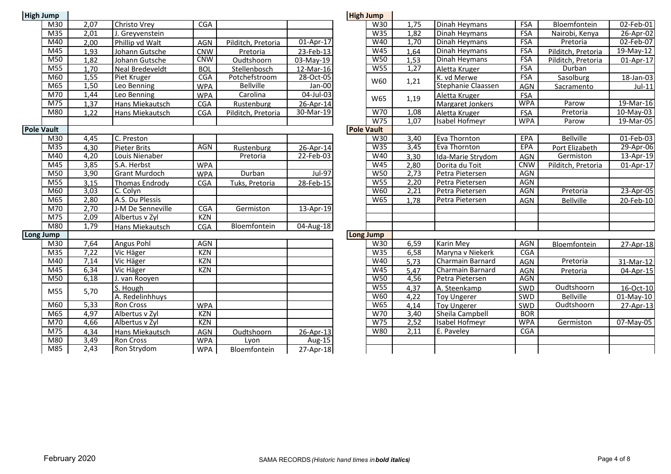| <b>High Jump</b>  |                  |                   |                      |            |                    |                         | <b>High Jump</b>  |            |      |                    |            |                  |
|-------------------|------------------|-------------------|----------------------|------------|--------------------|-------------------------|-------------------|------------|------|--------------------|------------|------------------|
|                   | M30              | 2,07              | <b>Christo Vrey</b>  | <b>CGA</b> |                    |                         |                   | W30        | 1,75 | Dinah Heymans      | <b>FSA</b> | Bloemfont        |
|                   | M <sub>35</sub>  | 2,01              | J. Greyvenstein      |            |                    |                         |                   | W35        | 1,82 | Dinah Heymans      | <b>FSA</b> | Nairobi, Ke      |
|                   | M40              | 2,00              | Phillip vd Walt      | AGN        | Pilditch, Pretoria | 01-Apr-17               |                   | W40        | 1,70 | Dinah Heymans      | <b>FSA</b> | Pretoria         |
|                   | M45              | 1,93              | Johann Gutsche       | <b>CNW</b> | Pretoria           | 23-Feb-13               |                   | W45        | 1,64 | Dinah Heymans      | <b>FSA</b> | Pilditch, Pre    |
|                   | M50              | 1,82              | Johann Gutsche       | <b>CNW</b> | Oudtshoorn         | 03-May-19               |                   | <b>W50</b> | 1,53 | Dinah Heymans      | <b>FSA</b> | Pilditch, Pre    |
|                   | M55              | 1,70              | Neal Bredeveldt      | <b>BOL</b> | Stellenbosch       | 12-Mar-16               |                   | W55        | 1,27 | Aletta Kruger      | <b>FSA</b> | Durban           |
|                   | M60              | 1,55              | Piet Kruger          | CGA        | Potchefstroom      | 28-Oct-05               |                   | W60        | 1,21 | K. vd Merwe        | <b>FSA</b> | Sasolburg        |
|                   | M65              | 1,50              | Leo Benning          | <b>WPA</b> | <b>Bellville</b>   | Jan-00                  |                   |            |      | Stephanie Claassen | <b>AGN</b> | Sacramen         |
|                   | M70              | 1,44              | Leo Benning          | <b>WPA</b> | Carolina           | $04$ -Jul-03            |                   | W65        | 1,19 | Aletta Kruger      | <b>FSA</b> |                  |
|                   | M75              | 1,37              | Hans Miekautsch      | <b>CGA</b> | Rustenburg         | 26-Apr-14               |                   |            |      | Margaret Jonkers   | <b>WPA</b> | Parow            |
|                   | M80              | 1.22              | Hans Miekautsch      | <b>CGA</b> | Pilditch, Pretoria | 30-Mar-19               |                   | W70        | 1,08 | Aletta Kruger      | FSA        | Pretoria         |
|                   |                  |                   |                      |            |                    |                         |                   | W75        | 1,07 | Isabel Hofmeyr     | <b>WPA</b> | Parow            |
| <b>Pole Vault</b> |                  |                   |                      |            |                    |                         | <b>Pole Vault</b> |            |      |                    |            |                  |
|                   | M30              | 4,45              | C. Preston           |            |                    |                         |                   | W30        | 3,40 | Eva Thornton       | EPA        | <b>Bellville</b> |
|                   | M <sub>35</sub>  | 4,30              | <b>Pieter Brits</b>  | <b>AGN</b> | Rustenburg         | 26-Apr-14               |                   | W35        | 3,45 | Eva Thornton       | EPA        | Port Elizab      |
|                   | M40              | 4,20              | Louis Nienaber       |            | Pretoria           | 22-Feb-03               |                   | W40        | 3,30 | Ida-Marie Strydom  | <b>AGN</b> | Germisto         |
|                   | M45              | 3,85              | S.A. Herbst          | <b>WPA</b> |                    |                         |                   | W45        | 2,80 | Dorita du Toit     | <b>CNW</b> | Pilditch, Pre    |
|                   | M50              | 3,90              | <b>Grant Murdoch</b> | <b>WPA</b> | Durban             | $Jul-97$                |                   | <b>W50</b> | 2,73 | Petra Pietersen    | <b>AGN</b> |                  |
|                   | M55              | 3,15              | Thomas Endrody       | <b>CGA</b> | Tuks, Pretoria     | 28-Feb-15               |                   | <b>W55</b> | 2,20 | Petra Pietersen    | <b>AGN</b> |                  |
|                   | M60              | 3,03              | C. Colyn             |            |                    |                         |                   | W60        | 2,21 | Petra Pietersen    | <b>AGN</b> | Pretoria         |
|                   | M65              | 2,80              | A.S. Du Plessis      |            |                    |                         |                   | W65        | 1,78 | Petra Pietersen    | <b>AGN</b> | <b>Bellville</b> |
|                   | M70              | 2,70              | J-M De Senneville    | CGA        | Germiston          | 13-Apr-19               |                   |            |      |                    |            |                  |
|                   | M75              | 2,09              | Albertus v Zyl       | <b>KZN</b> |                    |                         |                   |            |      |                    |            |                  |
|                   | M80              | 1,79              | Hans Miekautsch      | <b>CGA</b> | Bloemfontein       | $\overline{04}$ -Aug-18 |                   |            |      |                    |            |                  |
| Long Jump         |                  |                   |                      |            |                    |                         | <b>Long Jump</b>  |            |      |                    |            |                  |
|                   | M30              | 7,64              | <b>Angus Pohl</b>    | <b>AGN</b> |                    |                         |                   | W30        | 6,59 | <b>Karin Mey</b>   | <b>AGN</b> | Bloemfont        |
|                   | M35              | 7,22              | Vic Häger            | <b>KZN</b> |                    |                         |                   | W35        | 6,58 | Maryna v Niekerk   | <b>CGA</b> |                  |
|                   | M40              | 7,14              | Vic Häger            | <b>KZN</b> |                    |                         |                   | W40        | 5,73 | Charmain Barnard   | <b>AGN</b> | Pretoria         |
|                   | M45              | 6,34              | Vic Häger            | KZN        |                    |                         |                   | W45        | 5,47 | Charmain Barnard   | <b>AGN</b> | Pretoria         |
|                   | $M\overline{50}$ | 6,18              | J. van Rooyen        |            |                    |                         |                   | W50        | 4,56 | Petra Pietersen    | <b>AGN</b> |                  |
|                   | M55              | 5,70              | S. Hough             |            |                    |                         |                   | W55        | 4,37 | A. Steenkamp       | SWD        | Oudtshoc         |
|                   |                  |                   | A. Redelinhhuys      |            |                    |                         |                   | W60        | 4,22 | <b>Toy Ungerer</b> | SWD        | <b>Bellville</b> |
|                   | M60              | $\overline{5,33}$ | Ron Cross            | <b>WPA</b> |                    |                         |                   | <b>W65</b> | 4,14 | <b>Toy Ungerer</b> | SWD        | Oudtshoc         |
|                   | M65              | 4,97              | Albertus v Zyl       | <b>KZN</b> |                    |                         |                   | W70        | 3,40 | Sheila Campbell    | <b>BOR</b> |                  |
|                   | M70              | 4,66              | Albertus v Zyl       | KZN        |                    |                         |                   | W75        | 2,52 | Isabel Hofmeyr     | <b>WPA</b> | Germisto         |
|                   | M75              | 4,34              | Hans Miekautsch      | AGN        | Oudtshoorn         | 26-Apr-13               |                   | <b>W80</b> | 2,11 | E. Paveley         | CGA        |                  |
|                   | M80              | 3,49              | Ron Cross            | <b>WPA</b> | Lyon               | Aug-15                  |                   |            |      |                    |            |                  |
|                   | M85              | 2,43              | Ron Strydom          | <b>WPA</b> | Bloemfontein       | 27-Apr-18               |                   |            |      |                    |            |                  |

| mp                        |      |                       |            |                    |                         | <b>High Jump</b>  |      |                         |            |                    |              |
|---------------------------|------|-----------------------|------------|--------------------|-------------------------|-------------------|------|-------------------------|------------|--------------------|--------------|
| M30                       | 2,07 | Christo Vrey          | <b>CGA</b> |                    |                         | W30               | 1,75 | Dinah Heymans           | <b>FSA</b> | Bloemfontein       | 02-Feb-01    |
| $\overline{M35}$          | 2,01 | J. Greyvenstein       |            |                    |                         | W35               | 1,82 | Dinah Heymans           | <b>FSA</b> | Nairobi, Kenya     | 26-Apr-02    |
| M40                       | 2,00 | Phillip vd Walt       | AGN        | Pilditch, Pretoria | 01-Apr-17               | W40               | 1,70 | Dinah Heymans           | <b>FSA</b> | Pretoria           | 02-Feb-07    |
| $\overline{\mathsf{M}45}$ | 1,93 | Johann Gutsche        | <b>CNW</b> | Pretoria           | 23-Feb-13               | W45               | 1,64 | Dinah Heymans           | <b>FSA</b> | Pilditch, Pretoria | 19-May-12    |
| M50                       | 1,82 | Johann Gutsche        | <b>CNW</b> | Oudtshoorn         | 03-May-19               | W50               | 1,53 | Dinah Heymans           | <b>FSA</b> | Pilditch, Pretoria | 01-Apr-17    |
| M55                       | 1,70 | Neal Bredeveldt       | <b>BOL</b> | Stellenbosch       | 12-Mar-16               | W <sub>55</sub>   | 1,27 | Aletta Kruger           | <b>FSA</b> | Durban             |              |
| M60                       | 1,55 | Piet Kruger           | CGA        | Potchefstroom      | $\overline{28}$ -Oct-05 | W60               | 1,21 | K. vd Merwe             | <b>FSA</b> | Sasolburg          | 18-Jan-03    |
| M65                       | 1,50 | Leo Benning           | <b>WPA</b> | <b>Bellville</b>   | Jan-00                  |                   |      | Stephanie Claassen      | <b>AGN</b> | Sacramento         | $Jul-11$     |
| M70                       | 1,44 | Leo Benning           | <b>WPA</b> | Carolina           | 04-Jul-03               | W65               | 1,19 | Aletta Kruger           | FSA        |                    |              |
| M75                       | 1,37 | Hans Miekautsch       | CGA        | Rustenburg         | 26-Apr-14               |                   |      | Margaret Jonkers        | <b>WPA</b> | Parow              | 19-Mar-16    |
| M80                       | 1.22 | Hans Miekautsch       | CGA        | Pilditch, Pretoria | 30-Mar-19               | W70               | 1,08 | Aletta Kruger           | FSA        | Pretoria           | 10-May-03    |
|                           |      |                       |            |                    |                         | W75               | 1,07 | Isabel Hofmeyr          | <b>WPA</b> | Parow              | 19-Mar-05    |
| $u$ lt                    |      |                       |            |                    |                         | <b>Pole Vault</b> |      |                         |            |                    |              |
| M30                       | 4,45 | C. Preston            |            |                    |                         | W30               | 3,40 | Eva Thornton            | EPA        | <b>Bellville</b>   | 01-Feb-03    |
| $\overline{M35}$          | 4,30 | <b>Pieter Brits</b>   | <b>AGN</b> | Rustenburg         | 26-Apr-14               | W35               | 3,45 | Eva Thornton            | EPA        | Port Elizabeth     | 29-Apr-06    |
| M40                       | 4,20 | Louis Nienaber        |            | Pretoria           | 22-Feb-03               | W40               | 3,30 | Ida-Marie Strydom       | <b>AGN</b> | Germiston          | 13-Apr-19    |
| M45                       | 3,85 | S.A. Herbst           | <b>WPA</b> |                    |                         | W45               | 2,80 | Dorita du Toit          | <b>CNW</b> | Pilditch, Pretoria | 01-Apr-17    |
| $\overline{\mathsf{M}50}$ | 3,90 | <b>Grant Murdoch</b>  | <b>WPA</b> | Durban             | <b>Jul-97</b>           | W50               | 2,73 | Petra Pietersen         | AGN        |                    |              |
| M55                       | 3,15 | <b>Thomas Endrody</b> | <b>CGA</b> | Tuks, Pretoria     | 28-Feb-15               | <b>W55</b>        | 2,20 | Petra Pietersen         | <b>AGN</b> |                    |              |
| M60                       | 3,03 | C. Colyn              |            |                    |                         | <b>W60</b>        | 2,21 | Petra Pietersen         | <b>AGN</b> | Pretoria           | 23-Apr-05    |
| M65                       | 2,80 | A.S. Du Plessis       |            |                    |                         | <b>W65</b>        | 1,78 | Petra Pietersen         | AGN        | <b>Bellville</b>   | 20-Feb-10    |
| $\overline{M70}$          | 2,70 | J-M De Senneville     | CGA        | Germiston          | 13-Apr-19               |                   |      |                         |            |                    |              |
| M75                       | 2,09 | Albertus v Zyl        | <b>KZN</b> |                    |                         |                   |      |                         |            |                    |              |
| M80                       | 1,79 | Hans Miekautsch       | CGA        | Bloemfontein       | 04-Aug-18               |                   |      |                         |            |                    |              |
| <b>Imp</b>                |      |                       |            |                    |                         | Long Jump         |      |                         |            |                    |              |
| M30                       | 7,64 | <b>Angus Pohl</b>     | <b>AGN</b> |                    |                         | W30               | 6,59 | <b>Karin Mey</b>        | <b>AGN</b> | Bloemfontein       | 27-Apr-18    |
| $\overline{M35}$          | 7,22 | Vic Häger             | <b>KZN</b> |                    |                         | W35               | 6,58 | Maryna v Niekerk        | <b>CGA</b> |                    |              |
| M40                       | 7,14 | Vic Häger             | <b>KZN</b> |                    |                         | W40               | 5,73 | <b>Charmain Barnard</b> | <b>AGN</b> | Pretoria           | 31-Mar-12    |
| M45                       | 6,34 | Vic Häger             | <b>KZN</b> |                    |                         | W45               | 5,47 | Charmain Barnard        | <b>AGN</b> | Pretoria           | 04-Apr-15    |
| M50                       | 6,18 | J. van Rooyen         |            |                    |                         | W50               | 4,56 | Petra Pietersen         | <b>AGN</b> |                    |              |
| M55                       | 5,70 | S. Hough              |            |                    |                         | W <sub>55</sub>   | 4,37 | A. Steenkamp            | SWD        | Oudtshoorn         | 16-Oct-10    |
|                           |      | A. Redelinhhuys       |            |                    |                         | <b>W60</b>        | 4,22 | <b>Toy Ungerer</b>      | SWD        | <b>Bellville</b>   | $01$ -May-10 |
| M60                       | 5,33 | Ron Cross             | <b>WPA</b> |                    |                         | W65               | 4,14 | <b>Toy Ungerer</b>      | SWD        | Oudtshoorn         | 27-Apr-13    |
| M65                       | 4,97 | Albertus v Zyl        | <b>KZN</b> |                    |                         | W70               | 3,40 | Sheila Campbell         | <b>BOR</b> |                    |              |
| M70                       | 4,66 | Albertus v Zyl        | <b>KZN</b> |                    |                         | W75               | 2,52 | Isabel Hofmeyr          | <b>WPA</b> | Germiston          | 07-May-05    |
| M75                       | 4,34 | Hans Miekautsch       | AGN        | Oudtshoorn         | 26-Apr-13               | W80               | 2,11 | E. Paveley              | <b>CGA</b> |                    |              |
| M80                       | 3,49 | Ron Cross             | <b>WPA</b> | Lyon               | Aug-15                  |                   |      |                         |            |                    |              |
| $\overline{M85}$          | 2,43 | Ron Strydom           | <b>WPA</b> | Bloemfontein       | 27-Apr-18               |                   |      |                         |            |                    |              |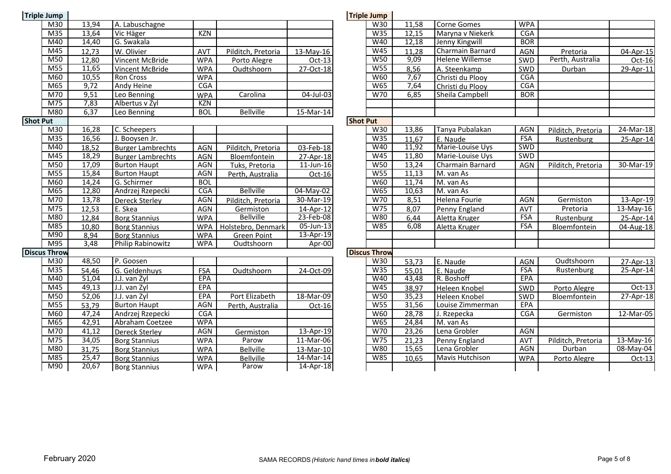| <b>Triple Jump</b>  |       |                          |            |                    |             |                 | <b>Triple Jump</b>  |       |                        |            |
|---------------------|-------|--------------------------|------------|--------------------|-------------|-----------------|---------------------|-------|------------------------|------------|
| M30                 | 13,94 | A. Labuschagne           |            |                    |             |                 | W30                 | 11,58 | Corne Gomes            | <b>WPA</b> |
| M35                 | 13,64 | Vic Häger                | <b>KZN</b> |                    |             |                 | W35                 | 12,15 | Maryna v Niekerk       | CGA        |
| M40                 | 14,40 | G. Swakala               |            |                    |             |                 | W40                 | 12,18 | Jenny Kingwill         | <b>BOR</b> |
| M45                 | 12,73 | W. Olivier               | <b>AVT</b> | Pilditch, Pretoria | 13-May-16   |                 | W <sub>45</sub>     | 11,28 | Charmain Barnard       | <b>AGN</b> |
| M50                 | 12,80 | Vincent McBride          | <b>WPA</b> | Porto Alegre       | $Oct-13$    |                 | <b>W50</b>          | 9,09  | <b>Helene Willemse</b> | SWD        |
| M55                 | 11,65 | Vincent McBride          | <b>WPA</b> | Oudtshoorn         | 27-Oct-18   |                 | <b>W55</b>          | 8,56  | A. Steenkamp           | SWD        |
| M60                 | 10,55 | Ron Cross                | <b>WPA</b> |                    |             |                 | W60                 | 7,67  | Christi du Plooy       | CGA        |
| M65                 | 9,72  | <b>Andy Heine</b>        | CGA        |                    |             |                 | W65                 | 7,64  | Christi du Plooy       | CGA        |
| M70                 | 9,51  | Leo Benning              | <b>WPA</b> | Carolina           | 04-Jul-03   |                 | W70                 | 6,85  | Sheila Campbell        | <b>BOR</b> |
| M75                 | 7,83  | Albertus v Zyl           | <b>KZN</b> |                    |             |                 |                     |       |                        |            |
| M80                 | 6,37  | Leo Benning              | <b>BOL</b> | <b>Bellville</b>   | $15-Mar-14$ |                 |                     |       |                        |            |
| <b>Shot Put</b>     |       |                          |            |                    |             | <b>Shot Put</b> |                     |       |                        |            |
| M30                 | 16,28 | C. Scheepers             |            |                    |             |                 | W30                 | 13,86 | Tanya Pubalakan        | <b>AGN</b> |
| M <sub>35</sub>     | 16,56 | J. Booysen Jr.           |            |                    |             |                 | W35                 | 11,67 | E. Naude               | FSA        |
| M40                 | 18,52 | <b>Burger Lambrechts</b> | AGN        | Pilditch, Pretoria | 03-Feb-18   |                 | W40                 | 11,92 | Marie-Louise Uys       | SWD        |
| M45                 | 18,29 | <b>Burger Lambrechts</b> | <b>AGN</b> | Bloemfontein       | 27-Apr-18   |                 | W45                 | 11,80 | Marie-Louise Uys       | <b>SWD</b> |
| M50                 | 17,09 | <b>Burton Haupt</b>      | <b>AGN</b> | Tuks, Pretoria     | 11-Jun-16   |                 | <b>W50</b>          | 13,24 | Charmain Barnard       | AGN        |
| M55                 | 15,84 | <b>Burton Haupt</b>      | <b>AGN</b> | Perth, Australia   | Oct-16      |                 | W55                 | 11,13 | M. van As              |            |
| M60                 | 14,24 | G. Schirmer              | <b>BOL</b> |                    |             |                 | <b>W60</b>          | 11,74 | M. van As              |            |
| M65                 | 12,80 | Andrzej Rzepecki         | <b>CGA</b> | <b>Bellville</b>   | 04-May-02   |                 | <b>W65</b>          | 10,63 | M. van As              |            |
| M70                 | 13,78 | <b>Dereck Sterley</b>    | <b>AGN</b> | Pilditch, Pretoria | 30-Mar-19   |                 | W70                 | 8,51  | Helena Fourie          | <b>AGN</b> |
| M75                 | 12,53 | E. Skea                  | <b>AGN</b> | Germiston          | 14-Apr-12   |                 | W75                 | 8,07  | Penny England          | AVT        |
| M80                 | 12,84 | <b>Borg Stannius</b>     | <b>WPA</b> | <b>Bellville</b>   | 23-Feb-08   |                 | <b>W80</b>          | 6,44  | Aletta Kruger          | <b>FSA</b> |
| M85                 | 10,80 | <b>Borg Stannius</b>     | <b>WPA</b> | Holstebro, Denmark | 05-Jun-13   |                 | W85                 | 6,08  | Aletta Kruger          | <b>FSA</b> |
| M90                 | 8,94  | <b>Borg Stannius</b>     | <b>WPA</b> | <b>Green Point</b> | 13-Apr-19   |                 |                     |       |                        |            |
| M95                 | 3,48  | Philip Rabinowitz        | <b>WPA</b> | Oudtshoorn         | Apr-00      |                 |                     |       |                        |            |
| <b>Discus Throw</b> |       |                          |            |                    |             |                 | <b>Discus Throw</b> |       |                        |            |
| M30                 | 48,50 | P. Goosen                |            |                    |             |                 | W30                 | 53,73 | E. Naude               | AGN        |
| M <sub>35</sub>     | 54,46 | G. Geldenhuys            | FSA        | Oudtshoorn         | 24-Oct-09   |                 | W35                 | 55,01 | E. Naude               | FSA        |
| M40                 | 51,04 | J.J. van Zyl             | <b>EPA</b> |                    |             |                 | W40                 | 43,48 | R. Boshoff             | EPA        |
| M45                 | 49,13 | J.J. van Zyl             | EPA        |                    |             |                 | W45                 | 38,97 | Heleen Knobel          | SWD        |
| M50                 | 52,06 | J.J. van Zyl             | EPA        | Port Elizabeth     | 18-Mar-09   |                 | W50                 | 35,23 | Heleen Knobel          | SWD        |
| M55                 | 53,79 | <b>Burton Haupt</b>      | <b>AGN</b> | Perth, Australia   | Oct-16      |                 | <b>W55</b>          | 31,56 | Louise Zimmerman       | EPA        |
| M60                 | 47,24 | Andrzej Rzepecki         | <b>CGA</b> |                    |             |                 | <b>W60</b>          | 28,78 | J. Rzepecka            | CGA        |
| M65                 | 42,91 | Abraham Coetzee          | <b>WPA</b> |                    |             |                 | W65                 | 24,84 | M. van As              |            |
| M70                 | 41,12 | <b>Dereck Sterley</b>    | <b>AGN</b> | Germiston          | 13-Apr-19   |                 | W70                 | 23,26 | Lena Grobler           | AGN        |
| M75                 | 34,05 | <b>Borg Stannius</b>     | <b>WPA</b> | Parow              | 11-Mar-06   |                 | W75                 | 21,23 | Penny England          | AVT        |
| M80                 | 31,75 | <b>Borg Stannius</b>     | <b>WPA</b> | <b>Bellville</b>   | 13-Mar-10   |                 | <b>W80</b>          | 15,65 | Lena Grobler           | <b>AGN</b> |
| M85                 | 25,47 | <b>Borg Stannius</b>     | <b>WPA</b> | <b>Bellville</b>   | 14-Mar-14   |                 | <b>W85</b>          | 10,65 | Mavis Hutchison        | <b>WPA</b> |
| M90                 | 20,67 | <b>Borg Stannius</b>     | <b>WPA</b> | Parow              | 14-Apr-18   |                 |                     |       |                        |            |

| ump                       |       |                          |            |                    |              | <b>Triple Jump</b> |                     |       |                        |            |                    |              |
|---------------------------|-------|--------------------------|------------|--------------------|--------------|--------------------|---------------------|-------|------------------------|------------|--------------------|--------------|
| $\overline{\text{M30}}$   | 13,94 | A. Labuschagne           |            |                    |              |                    | W30                 | 11,58 | <b>Corne Gomes</b>     | <b>WPA</b> |                    |              |
| $\overline{M35}$          | 13,64 | Vic Häger                | <b>KZN</b> |                    |              |                    | W35                 | 12,15 | Maryna v Niekerk       | CGA        |                    |              |
| M40                       | 14,40 | G. Swakala               |            |                    |              |                    | W40                 | 12,18 | Jenny Kingwill         | <b>BOR</b> |                    |              |
| M45                       | 12,73 | W. Olivier               | AVT        | Pilditch, Pretoria | 13-May-16    |                    | W45                 | 11,28 | Charmain Barnard       | <b>AGN</b> | Pretoria           | 04-Apr-15    |
| M50                       | 12,80 | Vincent McBride          | <b>WPA</b> | Porto Alegre       | Oct-13       |                    | W50                 | 9,09  | <b>Helene Willemse</b> | SWD        | Perth, Australia   | Oct-16       |
| $\overline{\mathsf{M}55}$ | 11,65 | Vincent McBride          | <b>WPA</b> | Oudtshoorn         | 27-Oct-18    |                    | W55                 | 8,56  | A. Steenkamp           | SWD        | Durban             | 29-Apr-11    |
| M60                       | 10,55 | Ron Cross                | <b>WPA</b> |                    |              |                    | W60                 | 7,67  | Christi du Plooy       | <b>CGA</b> |                    |              |
| M65                       | 9,72  | Andy Heine               | CGA        |                    |              |                    | <b>W65</b>          | 7,64  | Christi du Plooy       | CGA        |                    |              |
| $\overline{\text{M70}}$   | 9,51  | Leo Benning              | <b>WPA</b> | Carolina           | 04-Jul-03    |                    | W70                 | 6,85  | Sheila Campbell        | <b>BOR</b> |                    |              |
| $\overline{M75}$          | 7,83  | Albertus v Zyl           | <b>KZN</b> |                    |              |                    |                     |       |                        |            |                    |              |
| M80                       | 6,37  | Leo Benning              | <b>BOL</b> | <b>Bellville</b>   | $15-Mar-14$  |                    |                     |       |                        |            |                    |              |
| ıt.                       |       |                          |            |                    |              | <b>Shot Put</b>    |                     |       |                        |            |                    |              |
| M30                       | 16,28 | C. Scheepers             |            |                    |              |                    | W30                 | 13,86 | Tanya Pubalakan        | <b>AGN</b> | Pilditch, Pretoria | $24$ -Mar-18 |
| M <sub>35</sub>           | 16,56 | J. Booysen Jr.           |            |                    |              |                    | W35                 | 11,67 | E. Naude               | <b>FSA</b> | Rustenburg         | 25-Apr-14    |
| M40                       | 18,52 | <b>Burger Lambrechts</b> | <b>AGN</b> | Pilditch, Pretoria | 03-Feb-18    |                    | W40                 | 11,92 | Marie-Louise Uys       | SWD        |                    |              |
| M45                       | 18,29 | <b>Burger Lambrechts</b> | <b>AGN</b> | Bloemfontein       | 27-Apr-18    |                    | W45                 | 11,80 | Marie-Louise Uys       | SWD        |                    |              |
| M50                       | 17,09 | <b>Burton Haupt</b>      | <b>AGN</b> | Tuks, Pretoria     | $11$ -Jun-16 |                    | W50                 | 13,24 | Charmain Barnard       | <b>AGN</b> | Pilditch, Pretoria | 30-Mar-19    |
| $\overline{\mathsf{M}55}$ | 15,84 | <b>Burton Haupt</b>      | <b>AGN</b> | Perth, Australia   | $Oct-16$     |                    | W55                 | 11,13 | M. van As              |            |                    |              |
| M60                       | 14,24 | G. Schirmer              | <b>BOL</b> |                    |              |                    | <b>W60</b>          | 11,74 | M. van As              |            |                    |              |
| M65                       | 12,80 | Andrzej Rzepecki         | CGA        | <b>Bellville</b>   | 04-May-02    |                    | <b>W65</b>          | 10,63 | M. van As              |            |                    |              |
| $\overline{M70}$          | 13,78 | <b>Dereck Sterley</b>    | <b>AGN</b> | Pilditch, Pretoria | $30-Mar-19$  |                    | W70                 | 8,51  | Helena Fourie          | <b>AGN</b> | Germiston          | 13-Apr-19    |
| M75                       | 12,53 | E. Skea                  | AGN        | Germiston          | 14-Apr-12    |                    | W75                 | 8,07  | Penny England          | <b>AVT</b> | Pretoria           | 13-May-16    |
| M80                       | 12,84 | <b>Borg Stannius</b>     | <b>WPA</b> | <b>Bellville</b>   | 23-Feb-08    |                    | <b>W80</b>          | 6,44  | Aletta Kruger          | <b>FSA</b> | Rustenburg         | 25-Apr-14    |
| $\overline{M85}$          | 10,80 | <b>Borg Stannius</b>     | <b>WPA</b> | Holstebro, Denmark | 05-Jun-13    |                    | <b>W85</b>          | 6,08  | Aletta Kruger          | <b>FSA</b> | Bloemfontein       | 04-Aug-18    |
| M90                       | 8,94  | <b>Borg Stannius</b>     | <b>WPA</b> | <b>Green Point</b> | 13-Apr-19    |                    |                     |       |                        |            |                    |              |
| M95                       | 3,48  | <b>Philip Rabinowitz</b> | <b>WPA</b> | Oudtshoorn         | Apr-00       |                    |                     |       |                        |            |                    |              |
| Throw                     |       |                          |            |                    |              |                    | <b>Discus Throw</b> |       |                        |            |                    |              |
| M30                       | 48,50 | P. Goosen                |            |                    |              |                    | W30                 | 53,73 | E. Naude               | <b>AGN</b> | Oudtshoorn         | 27-Apr-13    |
| M35                       | 54,46 | G. Geldenhuys            | FSA        | Oudtshoorn         | 24-Oct-09    |                    | W35                 | 55,01 | E. Naude               | <b>FSA</b> | Rustenburg         | 25-Apr-14    |
| M40                       | 51,04 | J.J. van Zyl             | EPA        |                    |              |                    | W40                 | 43,48 | R. Boshoff             | EPA        |                    |              |
| $\overline{\mathsf{M45}}$ | 49,13 | J.J. van Zyl             | EPA        |                    |              |                    | W45                 | 38,97 | Heleen Knobel          | SWD        | Porto Alegre       | $Oct-13$     |
| $\overline{\mathsf{M}50}$ | 52,06 | J.J. van Zyl             | EPA        | Port Elizabeth     | 18-Mar-09    |                    | W50                 | 35,23 | Heleen Knobel          | SWD        | Bloemfontein       | 27-Apr-18    |
| $\overline{M55}$          | 53,79 | <b>Burton Haupt</b>      | <b>AGN</b> | Perth, Australia   | Oct-16       |                    | <b>W55</b>          | 31,56 | Louise Zimmerman       | EPA        |                    |              |
| M60                       | 47,24 | Andrzej Rzepecki         | <b>CGA</b> |                    |              |                    | W60                 | 28,78 | J. Rzepecka            | <b>CGA</b> | Germiston          | 12-Mar-05    |
| M65                       | 42,91 | Abraham Coetzee          | <b>WPA</b> |                    |              |                    | <b>W65</b>          | 24,84 | M. van As              |            |                    |              |
| M70                       | 41,12 | <b>Dereck Sterley</b>    | AGN        | Germiston          | 13-Apr-19    |                    | W70                 | 23,26 | Lena Grobler           | <b>AGN</b> |                    |              |
| $\overline{M75}$          | 34,05 | <b>Borg Stannius</b>     | <b>WPA</b> | Parow              | 11-Mar-06    |                    | W75                 | 21,23 | Penny England          | AVT        | Pilditch, Pretoria | $13$ -May-16 |
| M80                       | 31,75 | <b>Borg Stannius</b>     | <b>WPA</b> | <b>Bellville</b>   | 13-Mar-10    |                    | W80                 | 15,65 | Lena Grobler           | <b>AGN</b> | Durban             | 08-May-04    |
| M85                       | 25,47 | <b>Borg Stannius</b>     | <b>WPA</b> | <b>Bellville</b>   | 14-Mar-14    |                    | <b>W85</b>          | 10,65 | Mavis Hutchison        | <b>WPA</b> | Porto Alegre       | $Oct-13$     |
| M90                       | 20,67 | <b>Borg Stannius</b>     | <b>WPA</b> | Parow              | 14-Apr-18    |                    |                     |       |                        |            |                    |              |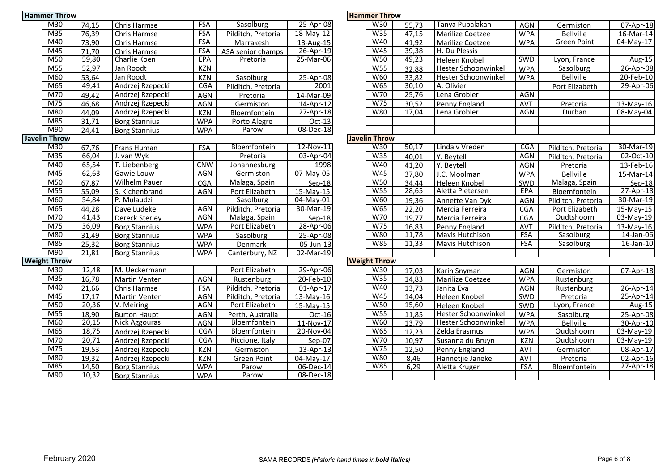| <b>Hammer Throw</b>  |       |                          |            |                    |                 | <b>Hammer Throw</b>  |       |                            |            |                      |
|----------------------|-------|--------------------------|------------|--------------------|-----------------|----------------------|-------|----------------------------|------------|----------------------|
| M30                  | 74,15 | Chris Harmse             | <b>FSA</b> | Sasolburg          | 25-Apr-08       | W30                  | 55,73 | Tanya Pubalakan            | AGN        | Germiston            |
| M35                  | 76,39 | Chris Harmse             | <b>FSA</b> | Pilditch, Pretoria | $18$ -May- $12$ | W35                  | 47,15 | Marilize Coetzee           | <b>WPA</b> | <b>Bellville</b>     |
| M40                  | 73,90 | Chris Harmse             | <b>FSA</b> | Marrakesh          | 13-Aug-15       | W40                  | 41,92 | Marilize Coetzee           | <b>WPA</b> | Green Point          |
| M45                  | 71,70 | Chris Harmse             | <b>FSA</b> | ASA senior champs  | 26-Apr-19       | W45                  | 39,38 | H. Du Plessis              |            |                      |
| M50                  | 59,80 | Charlie Koen             | <b>EPA</b> | Pretoria           | 25-Mar-06       | <b>W50</b>           | 49,23 | Heleen Knobel              | SWD        | Lyon, France         |
| M55                  | 52,97 | Jan Roodt                | KZN        |                    |                 | W55                  | 32,88 | <b>Hester Schoonwinkel</b> | <b>WPA</b> | Sasolburg            |
| M60                  | 53,64 | Jan Roodt                | <b>KZN</b> | Sasolburg          | 25-Apr-08       | <b>W60</b>           | 33,82 | Hester Schoonwinkel        | <b>WPA</b> | <b>Bellville</b>     |
| M65                  | 49,41 | Andrzej Rzepecki         | <b>CGA</b> | Pilditch, Pretoria | 2001            | <b>W65</b>           | 30,10 | A. Olivier                 |            | <b>Port Elizabet</b> |
| M70                  | 49,42 | Andrzej Rzepecki         | AGN        | Pretoria           | 14-Mar-09       | W70                  | 25,76 | Lena Grobler               | <b>AGN</b> |                      |
| M75                  | 46,68 | Andrzej Rzepecki         | <b>AGN</b> | Germiston          | 14-Apr-12       | W75                  | 30,52 | Penny England              | AVT        | Pretoria             |
| M80                  | 44,09 | Andrzej Rzepecki         | <b>KZN</b> | Bloemfontein       | 27-Apr-18       | <b>W80</b>           | 17,04 | Lena Grobler               | <b>AGN</b> | Durban               |
| M85                  | 31,71 | <b>Borg Stannius</b>     | <b>WPA</b> | Porto Alegre       | $Oct-13$        |                      |       |                            |            |                      |
| M90                  | 24,41 | <b>Borg Stannius</b>     | <b>WPA</b> | Parow              | $08 - Dec-18$   |                      |       |                            |            |                      |
| <b>Javelin Throw</b> |       |                          |            |                    |                 | <b>Javelin Throw</b> |       |                            |            |                      |
| M30                  | 67,76 | Frans Human              | <b>FSA</b> | Bloemfontein       | 12-Nov-11       | W30                  | 50,17 | Linda v Vreden             | CGA        | Pilditch, Preto      |
| M35                  | 66,04 | J. van Wyk               |            | Pretoria           | 03-Apr-04       | W35                  | 40,01 | Y. Beytell                 | <b>AGN</b> | Pilditch, Pretc      |
| M40                  | 65,54 | T. Liebenberg            | <b>CNW</b> | Johannesburg       | 1998            | W40                  | 41,20 | Y. Beytell                 | <b>AGN</b> | Pretoria             |
| M45                  | 62,63 | Gawie Louw               | <b>AGN</b> | Germiston          | 07-May-05       | W45                  | 37,80 | J.C. Moolman               | <b>WPA</b> | <b>Bellville</b>     |
| M50                  | 67,87 | <b>Wilhelm Pauer</b>     | CGA        | Malaga, Spain      | Sep-18          | <b>W50</b>           | 34,44 | Heleen Knobel              | SWD        | Malaga, Spai         |
| M55                  | 55,09 | S. Kichenbrand           | AGN        | Port Elizabeth     | 15-May-15       | W55                  | 28,65 | Aletta Pietersen           | <b>EPA</b> | Bloemfontei          |
| M60                  | 54,84 | P. Mulaudzi              |            | Sasolburg          | 04-May-01       | W60                  | 19,36 | Annette Van Dyk            | AGN        | Pilditch, Pretc      |
| M65                  | 44,28 | Dave Ludeke              | AGN        | Pilditch, Pretoria | 30-Mar-19       | <b>W65</b>           | 22,20 | Mercia Ferreira            | <b>CGA</b> | Port Elizabet        |
| M70                  | 41,43 | <b>Dereck Sterley</b>    | <b>AGN</b> | Malaga, Spain      | $Sep-18$        | W70                  | 19,77 | Mercia Ferreira            | <b>CGA</b> | Oudtshoorn           |
| M75                  | 36,09 | <b>Borg Stannius</b>     | <b>WPA</b> | Port Elizabeth     | 28-Apr-06       | W75                  | 16,83 | Penny England              | AVT        | Pilditch, Pretc      |
| M80                  | 31,49 | <b>Borg Stannius</b>     | <b>WPA</b> | Sasolburg          | 25-Apr-08       | <b>W80</b>           | 11,78 | <b>Mavis Hutchison</b>     | <b>FSA</b> | <b>Sasolburg</b>     |
| M85                  | 25,32 | <b>Borg Stannius</b>     | <b>WPA</b> | Denmark            | 05-Jun-13       | <b>W85</b>           | 11,33 | Mavis Hutchison            | <b>FSA</b> | Sasolburg            |
| M90                  | 21,81 | <b>Borg Stannius</b>     | <b>WPA</b> | Canterbury, NZ     | 02-Mar-19       |                      |       |                            |            |                      |
| <b>Weight Throw</b>  |       |                          |            |                    |                 | <b>Weight Throw</b>  |       |                            |            |                      |
| M30                  | 12,48 | M. Ueckermann            |            | Port Elizabeth     | 29-Apr-06       | W30                  | 17,03 | <b>Karin Snyman</b>        | AGN        | Germiston            |
| M35                  | 16,78 | <b>Martin Venter</b>     | AGN        | Rustenburg         | 20-Feb-10       | W35                  | 14,83 | Marilize Coetzee           | <b>WPA</b> | Rustenburg           |
| M40                  | 21,66 | Chris Harmse             | <b>FSA</b> | Pilditch, Pretoria | 01-Apr-17       | W40                  | 13,73 | Janita Eva                 | <b>AGN</b> | Rustenburg           |
| M45                  | 17,17 | Martin Venter            | AGN        | Pilditch, Pretoria | 13-May-16       | W45                  | 14,04 | Heleen Knobel              | SWD        | Pretoria             |
| M50                  | 20,36 | $\overline{V}$ . Meiring | <b>AGN</b> | Port Elizabeth     | 15-May-15       | <b>W50</b>           | 15,60 | Heleen Knobel              | SWD        | Lyon, France         |
| M55                  | 18,90 | <b>Burton Haupt</b>      | <b>AGN</b> | Perth, Australia   | Oct-16          | W55                  | 11,85 | <b>Hester Schoonwinkel</b> | <b>WPA</b> | Sasolburg            |
| M60                  | 20,15 | Nick Aggouras            | <b>AGN</b> | Bloemfontein       | 11-Nov-17       | <b>W60</b>           | 13,79 | Hester Schoonwinkel        | <b>WPA</b> | <b>Bellville</b>     |
| M65                  | 18,75 | Andrzej Rzepecki         | CGA        | Bloemfontein       | 20-Nov-04       | <b>W65</b>           | 12,23 | Zelda Erasmus              | <b>WPA</b> | Oudtshoorn           |
| M70                  | 20,71 | Andrzej Rzepecki         | <b>CGA</b> | Riccione, Italy    | Sep-07          | W70                  | 10,97 | Susanna du Bruyn           | <b>KZN</b> | Oudtshoorr           |
| M75                  | 19,53 | Andrzej Rzepecki         | <b>KZN</b> | Germiston          | 13-Apr-13       | W75                  | 12,50 | Penny England              | AVT        | Germiston            |
| M80                  | 19,32 | Andrzej Rzepecki         | KZN        | <b>Green Point</b> | 04-May-17       | <b>W80</b>           | 8,46  | Hannetjie Janeke           | <b>AVT</b> | Pretoria             |
| M85                  | 14,50 | <b>Borg Stannius</b>     | <b>WPA</b> | Parow              | 06-Dec-14       | W85                  | 6,29  | Aletta Kruger              | <b>FSA</b> | Bloemfontei          |
| M90                  | 10,32 | <b>Borg Stannius</b>     | <b>WPA</b> | Parow              | $08 - Dec - 18$ |                      |       |                            |            |                      |

|  | Hammer Throw |  |  |  |
|--|--------------|--|--|--|
|--|--------------|--|--|--|

| M30                       | 74,15 | Chris Harmse             | <b>FSA</b> | Sasolburg           | 25-Apr-08       | W30                  | 55,73 | Tanya Pubalakan            | AGN        | Germiston          | 07-Apr-18               |
|---------------------------|-------|--------------------------|------------|---------------------|-----------------|----------------------|-------|----------------------------|------------|--------------------|-------------------------|
| $\overline{M35}$          | 76,39 | Chris Harmse             | <b>FSA</b> | Pilditch, Pretoria  | 18-May-12       | W35                  | 47,15 | Marilize Coetzee           | <b>WPA</b> | <b>Bellville</b>   | 16-Mar-14               |
| M40                       | 73,90 | Chris Harmse             | <b>FSA</b> | Marrakesh           | 13-Aug-15       | W40                  | 41,92 | <b>Marilize Coetzee</b>    | <b>WPA</b> | Green Point        | 04-May-17               |
| $\overline{\mathsf{M}45}$ | 71,70 | Chris Harmse             | <b>FSA</b> | ASA senior champs   | 26-Apr-19       | W45                  | 39,38 | H. Du Plessis              |            |                    |                         |
| $\overline{\mathsf{M}50}$ | 59,80 | Charlie Koen             | <b>EPA</b> | Pretoria            | $25$ -Mar-06    | W50                  | 49,23 | Heleen Knobel              | <b>SWD</b> | Lyon, France       | Aug-15                  |
| $\overline{M55}$          | 52,97 | Jan Roodt                | <b>KZN</b> |                     |                 | W55                  | 32,88 | <b>Hester Schoonwinkel</b> | <b>WPA</b> | Sasolburg          | 26-Apr-08               |
| M60                       | 53,64 | Jan Roodt                | <b>KZN</b> | Sasolburg           | 25-Apr-08       | <b>W60</b>           | 33,82 | Hester Schoonwinkel        | <b>WPA</b> | <b>Bellville</b>   | 20-Feb-10               |
| M65                       | 49,41 | Andrzej Rzepecki         | CGA        | Pilditch, Pretoria  | 2001            | W65                  | 30,10 | A. Olivier                 |            | Port Elizabeth     | 29-Apr-06               |
| M70                       | 49,42 | Andrzej Rzepecki         | <b>AGN</b> | Pretoria            | 14-Mar-09       | W70                  | 25,76 | Lena Grobler               | <b>AGN</b> |                    |                         |
| $\overline{M75}$          | 46,68 | Andrzej Rzepecki         | <b>AGN</b> | Germiston           | 14-Apr-12       | W75                  | 30,52 | Penny England              | <b>AVT</b> | Pretoria           | $13$ -May-16            |
| M80                       | 44,09 | Andrzej Rzepecki         | <b>KZN</b> | <b>Bloemfontein</b> | 27-Apr-18       | W80                  | 17,04 | Lena Grobler               | AGN        | Durban             | 08-May-04               |
| M85                       | 31,71 | <b>Borg Stannius</b>     | <b>WPA</b> | Porto Alegre        | Oct-13          |                      |       |                            |            |                    |                         |
| M90                       | 24,41 | <b>Borg Stannius</b>     | <b>WPA</b> | Parow               | $08 - Dec - 18$ |                      |       |                            |            |                    |                         |
| <b>Throw</b>              |       |                          |            |                     |                 | <b>Javelin Throw</b> |       |                            |            |                    |                         |
| $\overline{\mathsf{M}30}$ | 67,76 | Frans Human              | <b>FSA</b> | Bloemfontein        | 12-Nov-11       | W30                  | 50,17 | Linda v Vreden             | <b>CGA</b> | Pilditch, Pretoria | 30-Mar-19               |
| M <sub>35</sub>           | 66,04 | J. van Wyk               |            | Pretoria            | 03-Apr-04       | W35                  | 40,01 | Y. Beytell                 | <b>AGN</b> | Pilditch, Pretoria | 02-Oct-10               |
| M40                       | 65,54 | T. Liebenberg            | <b>CNW</b> | Johannesburg        | 1998            | W40                  | 41,20 | Y. Bevtell                 | AGN        | Pretoria           | 13-Feb-16               |
| M45                       | 62,63 | Gawie Louw               | <b>AGN</b> | Germiston           | 07-May-05       | W45                  | 37,80 | J.C. Moolman               | <b>WPA</b> | <b>Bellville</b>   | 15-Mar-14               |
| M50                       | 67,87 | <b>Wilhelm Pauer</b>     | CGA        | Malaga, Spain       | Sep-18          | <b>W50</b>           | 34,44 | Heleen Knobel              | SWD        | Malaga, Spain      | $Sep-18$                |
| $\overline{M55}$          | 55,09 | S. Kichenbrand           | <b>AGN</b> | Port Elizabeth      | 15-May-15       | W55                  | 28,65 | Aletta Pietersen           | <b>EPA</b> | Bloemfontein       | $27$ -Apr-18            |
| M60                       | 54,84 | P. Mulaudzi              |            | Sasolburg           | 04-May-01       | W60                  | 19,36 | Annette Van Dyk            | AGN        | Pilditch, Pretoria | 30-Mar-19               |
| M65                       | 44,28 | Dave Ludeke              | <b>AGN</b> | Pilditch, Pretoria  | 30-Mar-19       | <b>W65</b>           | 22,20 | Mercia Ferreira            | <b>CGA</b> | Port Elizabeth     | 15-May-15               |
| $\overline{M70}$          | 41,43 | <b>Dereck Sterley</b>    | <b>AGN</b> | Malaga, Spain       | $Sep-18$        | W70                  | 19,77 | Mercia Ferreira            | <b>CGA</b> | Oudtshoorn         | 03-May-19               |
| $\overline{M75}$          | 36,09 | <b>Borg Stannius</b>     | <b>WPA</b> | Port Elizabeth      | 28-Apr-06       | W75                  | 16,83 | Penny England              | <b>AVT</b> | Pilditch, Pretoria | 13-May-16               |
| M80                       | 31,49 | <b>Borg Stannius</b>     | <b>WPA</b> | Sasolburg           | 25-Apr-08       | W80                  | 11,78 | Mavis Hutchison            | <b>FSA</b> | Sasolburg          | 14-Jan-06               |
| M85                       | 25,32 | <b>Borg Stannius</b>     | <b>WPA</b> | Denmark             | 05-Jun-13       | W85                  | 11,33 | <b>Mavis Hutchison</b>     | <b>FSA</b> | Sasolburg          | $\overline{16}$ -Jan-10 |
| M90                       | 21,81 | <b>Borg Stannius</b>     | <b>WPA</b> | Canterbury, NZ      | 02-Mar-19       |                      |       |                            |            |                    |                         |
| : Throw                   |       |                          |            |                     |                 | <b>Weight Throw</b>  |       |                            |            |                    |                         |
| M30                       | 12,48 | M. Ueckermann            |            | Port Elizabeth      | 29-Apr-06       | W30                  | 17,03 | Karin Snyman               | AGN        | Germiston          | 07-Apr-18               |
| M35                       | 16,78 | <b>Martin Venter</b>     | AGN        | Rustenburg          | 20-Feb-10       | W35                  | 14,83 | Marilize Coetzee           | <b>WPA</b> | Rustenburg         |                         |
| M40                       | 21,66 | Chris Harmse             | FSA        | Pilditch, Pretoria  | 01-Apr-17       | W40                  | 13,73 | Janita Eva                 | <b>AGN</b> | Rustenburg         | 26-Apr-14               |
| $\overline{\mathsf{M}45}$ | 17,17 | Martin Venter            | AGN        | Pilditch, Pretoria  | 13-May-16       | W45                  | 14,04 | Heleen Knobel              | SWD        | Pretoria           | $25-Apr-14$             |
| M50                       | 20,36 | $\overline{V}$ . Meiring | AGN        | Port Elizabeth      | 15-May-15       | W50                  | 15,60 | Heleen Knobel              | SWD        | Lyon, France       | Aug-15                  |
| M <sub>55</sub>           | 18,90 | <b>Burton Haupt</b>      | <b>AGN</b> | Perth, Australia    | Oct-16          | W55                  | 11,85 | <b>Hester Schoonwinkel</b> | <b>WPA</b> | Sasolburg          | 25-Apr-08               |
| M60                       | 20,15 | <b>Nick Aggouras</b>     | AGN        | Bloemfontein        | 11-Nov-17       | W60                  | 13,79 | <b>Hester Schoonwinkel</b> | <b>WPA</b> | <b>Bellville</b>   | 30-Apr-10               |
| M65                       | 18,75 | Andrzej Rzepecki         | CGA        | Bloemfontein        | 20-Nov-04       | W65                  | 12,23 | Zelda Erasmus              | <b>WPA</b> | Oudtshoorn         | 03-May-19               |
| M70                       | 20,71 | Andrzej Rzepecki         | <b>CGA</b> | Riccione, Italy     | Sep-07          | W70                  | 10,97 | Susanna du Bruyn           | <b>KZN</b> | Oudtshoorn         | 03-May-19               |
| $\overline{M75}$          | 19,53 | Andrzej Rzepecki         | <b>KZN</b> | Germiston           | 13-Apr-13       | W75                  | 12,50 | Penny England              | <b>AVT</b> | Germiston          | 08-Apr-17               |
| $\overline{\text{M}80}$   | 19,32 | Andrzej Rzepecki         | <b>KZN</b> | <b>Green Point</b>  | 04-May-17       | W80                  | 8,46  | Hannetjie Janeke           | <b>AVT</b> | Pretoria           | 02-Apr-16               |
| M85                       | 14,50 | <b>Borg Stannius</b>     | <b>WPA</b> | Parow               | 06-Dec-14       | <b>W85</b>           | 6,29  | Aletta Kruger              | <b>FSA</b> | Bloemfontein       | 27-Apr-18               |
| M90                       | 10,32 | <b>Borg Stannius</b>     | <b>WPA</b> | Parow               | 08-Dec-18       |                      |       |                            |            |                    |                         |
|                           |       |                          |            |                     |                 |                      |       |                            |            |                    |                         |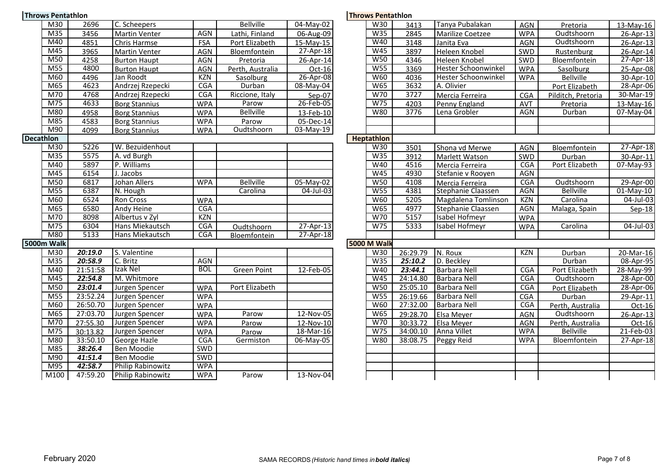| <b>Throws Pentathlon</b> |                 |          |                          |            |                    |              | <b>Throws Pentathlon</b> |            |          |                            |            |
|--------------------------|-----------------|----------|--------------------------|------------|--------------------|--------------|--------------------------|------------|----------|----------------------------|------------|
|                          | M30             | 2696     | C. Scheepers             |            | <b>Bellville</b>   | 04-May-02    |                          | W30        | 3413     | Tanya Pubalakan            | AGN        |
|                          | M35             | 3456     | <b>Martin Venter</b>     | <b>AGN</b> | Lathi, Finland     | 06-Aug-09    |                          | W35        | 2845     | Marilize Coetzee           | <b>WPA</b> |
|                          | M40             | 4851     | Chris Harmse             | FSA        | Port Elizabeth     | 15-May-15    |                          | W40        | 3148     | Janita Eva                 | AGN        |
|                          | M45             | 3965     | Martin Venter            | <b>AGN</b> | Bloemfontein       | 27-Apr-18    |                          | W45        | 3897     | Heleen Knobel              | <b>SWD</b> |
|                          | M50             | 4258     | <b>Burton Haupt</b>      | <b>AGN</b> | Pretoria           | 26-Apr-14    |                          | <b>W50</b> | 4346     | Heleen Knobel              | SWD        |
|                          | M55             | 4800     | <b>Burton Haupt</b>      | AGN        | Perth, Australia   | Oct-16       |                          | W55        | 3369     | <b>Hester Schoonwinkel</b> | <b>WPA</b> |
|                          | M60             | 4496     | Jan Roodt                | KZN        | Sasolburg          | 26-Apr-08    |                          | W60        | 4036     | Hester Schoonwinkel        | <b>WPA</b> |
|                          | M65             | 4623     | Andrzej Rzepecki         | CGA        | Durban             | 08-May-04    |                          | <b>W65</b> | 3632     | A. Olivier                 |            |
|                          | M70             | 4768     | Andrzej Rzepecki         | CGA        | Riccione, Italy    | Sep-07       |                          | W70        | 3727     | Mercia Ferreira            | <b>CGA</b> |
|                          | M75             | 4633     | <b>Borg Stannius</b>     | <b>WPA</b> | Parow              | 26-Feb-05    |                          | W75        | 4203     | Penny England              | AVT        |
|                          | M80             | 4958     | <b>Borg Stannius</b>     | <b>WPA</b> | <b>Bellville</b>   | 13-Feb-10    |                          | <b>W80</b> | 3776     | Lena Grobler               | <b>AGN</b> |
|                          | M85             | 4583     | <b>Borg Stannius</b>     | <b>WPA</b> | Parow              | 05-Dec-14    |                          |            |          |                            |            |
|                          | M90             | 4099     | <b>Borg Stannius</b>     | <b>WPA</b> | Oudtshoorn         | 03-May-19    |                          |            |          |                            |            |
| <b>Decathlon</b>         |                 |          |                          |            |                    |              | <b>Heptathlon</b>        |            |          |                            |            |
|                          | M30             | 5226     | W. Bezuidenhout          |            |                    |              |                          | W30        | 3501     | Shona vd Merwe             | AGN        |
|                          | M35             | 5575     | A. vd Burgh              |            |                    |              |                          | W35        | 3912     | Marlett Watson             | SWD        |
|                          | M40             | 5897     | P. Williams              |            |                    |              |                          | W40        | 4516     | Mercia Ferreira            | <b>CGA</b> |
|                          | M45             | 6154     | J. Jacobs                |            |                    |              |                          | W45        | 4930     | Stefanie v Rooyen          | AGN        |
|                          | M50             | 6817     | Johan Allers             | <b>WPA</b> | <b>Bellville</b>   | 05-May-02    |                          | <b>W50</b> | 4108     | Mercia Ferreira            | <b>CGA</b> |
|                          | M55             | 6387     | N. Hough                 |            | Carolina           | $04$ -Jul-03 |                          | W55        | 4381     | Stephanie Claassen         | <b>AGN</b> |
|                          | M60             | 6524     | Ron Cross                | <b>WPA</b> |                    |              |                          | W60        | 5205     | Magdalena Tomlinson        | <b>KZN</b> |
|                          | M65             | 6580     | Andy Heine               | CGA        |                    |              |                          | <b>W65</b> | 4977     | Stephanie Claassen         | <b>AGN</b> |
|                          | M70             | 8098     | Albertus v Zyl           | <b>KZN</b> |                    |              |                          | W70        | 5157     | Isabel Hofmeyr             | <b>WPA</b> |
|                          | M75             | 6304     | Hans Miekautsch          | <b>CGA</b> | Oudtshoorn         | $27-Apr-13$  |                          | W75        | 5333     | Isabel Hofmeyr             | <b>WPA</b> |
|                          | M80             | 5133     | Hans Miekautsch          | <b>CGA</b> | Bloemfontein       | 27-Apr-18    |                          |            |          |                            |            |
| 5000m Walk               |                 |          |                          |            |                    |              | <b>5000 M Walk</b>       |            |          |                            |            |
|                          | M30             | 20:19.0  | S. Valentine             |            |                    |              |                          | W30        | 26:29.79 | N. Roux                    | <b>KZN</b> |
|                          | M <sub>35</sub> | 20:58.9  | C. Britz                 | <b>AGN</b> |                    |              |                          | W35        | 25:10.2  | D. Beckley                 |            |
|                          | M40             | 21:51:58 | Izak Nel                 | <b>BOL</b> | <b>Green Point</b> | 12-Feb-05    |                          | W40        | 23:44.1  | <b>Barbara Nell</b>        | <b>CGA</b> |
|                          | M45             | 22:54.8  | M. Whitmore              |            |                    |              |                          | W45        | 24:14.80 | Barbara Nell               | <b>CGA</b> |
|                          | M50             | 23:01.4  | Jurgen Spencer           | <b>WPA</b> | Port Elizabeth     |              |                          | <b>W50</b> | 25:05.10 | <b>Barbara Nell</b>        | <b>CGA</b> |
|                          | M55             | 23:52.24 | Jurgen Spencer           | <b>WPA</b> |                    |              |                          | <b>W55</b> | 26:19.66 | Barbara Nell               | CGA        |
|                          | M60             | 26:50.70 | Jurgen Spencer           | <b>WPA</b> |                    |              |                          | <b>W60</b> | 27:32.00 | <b>Barbara Nell</b>        | CGA        |
|                          | M65             | 27:03.70 | Jurgen Spencer           | <b>WPA</b> | Parow              | 12-Nov-05    |                          | W65        | 29:28.70 | Elsa Meyer                 | <b>AGN</b> |
|                          | M70             | 27:55.30 | Jurgen Spencer           | <b>WPA</b> | Parow              | 12-Nov-10    |                          | W70        | 30:33.72 | Elsa Meyer                 | <b>AGN</b> |
|                          | M75             | 30:13.82 | Jurgen Spencer           | <b>WPA</b> | Parow              | 18-Mar-16    |                          | W75        | 34:00.10 | Anna Villet                | <b>WPA</b> |
|                          | M80             | 33:50.10 | George Hazle             | <b>CGA</b> | Germiston          | 06-May-05    |                          | <b>W80</b> | 38:08.75 | Peggy Reid                 | <b>WPA</b> |
|                          | M85             | 38:26.4  | Ben Moodie               | SWD        |                    |              |                          |            |          |                            |            |
|                          | M90             | 41:51.4  | Ben Moodie               | SWD        |                    |              |                          |            |          |                            |            |
|                          | M95             | 42:58.7  | <b>Philip Rabinowitz</b> | <b>WPA</b> |                    |              |                          |            |          |                            |            |
|                          | M100            | 47:59.20 | <b>Philip Rabinowitz</b> | <b>WPA</b> | Parow              | 13-Nov-04    |                          |            |          |                            |            |
|                          |                 |          |                          |            |                    |              |                          |            |          |                            |            |

| M30                        | 2696     | C. Scheepers             |            | <b>Bellville</b>   | 04-May-02       | W30                | 3413     | Tanya Pubalakan            | AGN        | Pretoria           | 13-May-16    |
|----------------------------|----------|--------------------------|------------|--------------------|-----------------|--------------------|----------|----------------------------|------------|--------------------|--------------|
| M <sub>35</sub>            | 3456     | <b>Martin Venter</b>     | <b>AGN</b> | Lathi, Finland     | 06-Aug-09       | W35                | 2845     | Marilize Coetzee           | <b>WPA</b> | Oudtshoorn         | 26-Apr-13    |
| M40                        | 4851     | Chris Harmse             | FSA        | Port Elizabeth     | 15-May-15       | W40                | 3148     | Janita Eva                 | AGN        | Oudtshoorn         | 26-Apr-13    |
| $\overline{\mathsf{M}45}$  | 3965     | <b>Martin Venter</b>     | AGN        | Bloemfontein       | $27 - Apr - 18$ | W45                | 3897     | Heleen Knobel              | SWD        | Rustenburg         | 26-Apr-14    |
| $\overline{\mathsf{M}50}$  | 4258     | <b>Burton Haupt</b>      | AGN        | Pretoria           | 26-Apr-14       | W50                | 4346     | Heleen Knobel              | SWD        | Bloemfontein       | 27-Apr-18    |
| $\overline{\mathsf{M}55}$  | 4800     | <b>Burton Haupt</b>      | <b>AGN</b> | Perth, Australia   | Oct-16          | <b>W55</b>         | 3369     | <b>Hester Schoonwinkel</b> | <b>WPA</b> | Sasolburg          | 25-Apr-08    |
| M60                        | 4496     | Jan Roodt                | <b>KZN</b> | Sasolburg          | 26-Apr-08       | W60                | 4036     | <b>Hester Schoonwinkel</b> | <b>WPA</b> | <b>Bellville</b>   | 30-Apr-10    |
| M65                        | 4623     | Andrzej Rzepecki         | <b>CGA</b> | Durban             | $08 - May-04$   | <b>W65</b>         | 3632     | A. Olivier                 |            | Port Elizabeth     | 28-Apr-06    |
| M70                        | 4768     | Andrzej Rzepecki         | CGA        | Riccione, Italy    | Sep-07          | W70                | 3727     | Mercia Ferreira            | <b>CGA</b> | Pilditch, Pretoria | 30-Mar-19    |
| $\overline{M75}$           | 4633     | <b>Borg Stannius</b>     | <b>WPA</b> | Parow              | 26-Feb-05       | W <sub>75</sub>    | 4203     | Penny England              | AVT        | Pretoria           | 13-May-16    |
| M80                        | 4958     | <b>Borg Stannius</b>     | <b>WPA</b> | <b>Bellville</b>   | 13-Feb-10       | <b>W80</b>         | 3776     | Lena Grobler               | AGN        | Durban             | $07$ -May-04 |
| M85                        | 4583     | <b>Borg Stannius</b>     | <b>WPA</b> | Parow              | 05-Dec-14       |                    |          |                            |            |                    |              |
| M90                        | 4099     | <b>Borg Stannius</b>     | <b>WPA</b> | Oudtshoorn         | 03-May-19       |                    |          |                            |            |                    |              |
| lon                        |          |                          |            |                    |                 | <b>Heptathlon</b>  |          |                            |            |                    |              |
| $\overline{\text{M30}}$    | 5226     | W. Bezuidenhout          |            |                    |                 | W30                | 3501     | Shona vd Merwe             | <b>AGN</b> | Bloemfontein       | 27-Apr-18    |
| $\overline{M35}$           | 5575     | A. vd Burgh              |            |                    |                 | W35                | 3912     | Marlett Watson             | SWD        | Durban             | 30-Apr-11    |
| M40                        | 5897     | P. Williams              |            |                    |                 | W40                | 4516     | Mercia Ferreira            | <b>CGA</b> | Port Elizabeth     | 07-May-93    |
| M45                        | 6154     | J. Jacobs                |            |                    |                 | W45                | 4930     | Stefanie v Rooyen          | AGN        |                    |              |
| $\overline{\mathsf{M}50}$  | 6817     | Johan Allers             | <b>WPA</b> | <b>Bellville</b>   | 05-May-02       | W50                | 4108     | Mercia Ferreira            | CGA        | Oudtshoorn         | 29-Apr-00    |
| M55                        | 6387     | N. Hough                 |            | Carolina           | 04-Jul-03       | <b>W55</b>         | 4381     | Stephanie Claassen         | <b>AGN</b> | <b>Bellville</b>   | $01$ -May-10 |
| M60                        | 6524     | <b>Ron Cross</b>         | <b>WPA</b> |                    |                 | <b>W60</b>         | 5205     | Magdalena Tomlinson        | <b>KZN</b> | Carolina           | 04-Jul-03    |
| M65                        | 6580     | <b>Andy Heine</b>        | <b>CGA</b> |                    |                 | W65                | 4977     | Stephanie Claassen         | <b>AGN</b> | Malaga, Spain      | Sep-18       |
| M70                        | 8098     | Albertus v Zyl           | <b>KZN</b> |                    |                 | W70                | 5157     | <b>Isabel Hofmeyr</b>      | <b>WPA</b> |                    |              |
| M75                        | 6304     | Hans Miekautsch          | <b>CGA</b> | Oudtshoorn         | $27-Apr-13$     | W75                | 5333     | Isabel Hofmeyr             | <b>WPA</b> | Carolina           | $04$ -Jul-03 |
| M80                        | 5133     | Hans Miekautsch          | CGA        | Bloemfontein       | 27-Apr-18       |                    |          |                            |            |                    |              |
| <b>Walk</b>                |          |                          |            |                    |                 | <b>5000 M Walk</b> |          |                            |            |                    |              |
| M30                        | 20:19.0  | S. Valentine             |            |                    |                 | W30                | 26:29.79 | N. Roux                    | <b>KZN</b> | Durban             | 20-Mar-16    |
| M <sub>35</sub>            | 20:58.9  | C. Britz                 | <b>AGN</b> |                    |                 | W35                | 25:10.2  | D. Beckley                 |            | Durban             | 08-Apr-95    |
| M40                        | 21:51:58 | Izak Nel                 | <b>BOL</b> | <b>Green Point</b> | 12-Feb-05       | W40                | 23:44.1  | <b>Barbara Nell</b>        | CGA        | Port Elizabeth     | 28-May-99    |
| $\overline{M45}$           | 22:54.8  | M. Whitmore              |            |                    |                 | W45                | 24:14.80 | <b>Barbara Nell</b>        | CGA        | Oudtshoorn         | 28-Apr-00    |
| M50                        | 23:01.4  | Jurgen Spencer           | <b>WPA</b> | Port Elizabeth     |                 | W50                | 25:05.10 | <b>Barbara Nell</b>        | <b>CGA</b> | Port Elizabeth     | 28-Apr-06    |
| M55                        | 23:52.24 | Jurgen Spencer           | <b>WPA</b> |                    |                 | <b>W55</b>         | 26:19.66 | <b>Barbara Nell</b>        | CGA        | Durban             | 29-Apr-11    |
| M60                        | 26:50.70 | Jurgen Spencer           | <b>WPA</b> |                    |                 | W60                | 27:32.00 | <b>Barbara Nell</b>        | <b>CGA</b> | Perth, Australia   | $Oct-16$     |
| M65                        | 27:03.70 | Jurgen Spencer           | <b>WPA</b> | Parow              | 12-Nov-05       | <b>W65</b>         | 29:28.70 | Elsa Meyer                 | AGN        | Oudtshoorn         | 26-Apr-13    |
| $\overline{M70}$           | 27:55.30 | Jurgen Spencer           | <b>WPA</b> | Parow              | 12-Nov-10       | W70                | 30:33.72 | Elsa Meyer                 | <b>AGN</b> | Perth, Australia   | Oct-16       |
| M75                        | 30:13.82 | Jurgen Spencer           | <b>WPA</b> | Parow              | 18-Mar-16       | W75                | 34:00.10 | Anna Villet                | <b>WPA</b> | <b>Bellville</b>   | 21-Feb-03    |
| M80                        | 33:50.10 | George Hazle             | CGA        | Germiston          | $06 - May-05$   | W80                | 38:08.75 | Peggy Reid                 | <b>WPA</b> | Bloemfontein       | 27-Apr-18    |
| $\overline{M85}$           | 38:26.4  | Ben Moodie               | <b>SWD</b> |                    |                 |                    |          |                            |            |                    |              |
| M90                        | 41:51.4  | Ben Moodie               | SWD        |                    |                 |                    |          |                            |            |                    |              |
| M95                        | 42:58.7  | <b>Philip Rabinowitz</b> | <b>WPA</b> |                    |                 |                    |          |                            |            |                    |              |
| $\overline{\mathsf{M100}}$ | 47:59.20 | <b>Philip Rabinowitz</b> | <b>WPA</b> | Parow              | 13-Nov-04       |                    |          |                            |            |                    |              |
|                            |          |                          |            |                    |                 |                    |          |                            |            |                    |              |